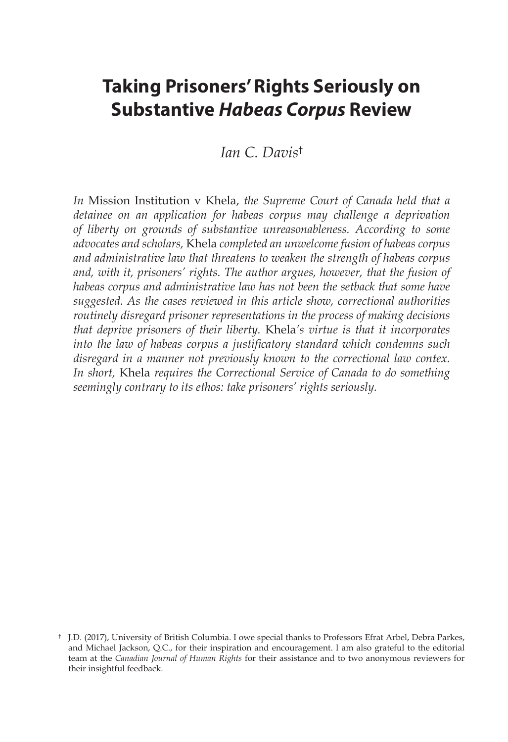# **Taking Prisoners' Rights Seriously on Substantive** *Habeas Corpus* **Review**

*Ian C. Davis*†

*In* Mission Institution v Khela, *the Supreme Court of Canada held that a detainee on an application for habeas corpus may challenge a deprivation of liberty on grounds of substantive unreasonableness. According to some advocates and scholars,* Khela *completed an unwelcome fusion of habeas corpus and administrative law that threatens to weaken the strength of habeas corpus and, with it, prisoners' rights. The author argues, however, that the fusion of habeas corpus and administrative law has not been the setback that some have suggested. As the cases reviewed in this article show, correctional authorities routinely disregard prisoner representations in the process of making decisions that deprive prisoners of their liberty.* Khela*'s virtue is that it incorporates into the law of habeas corpus a justificatory standard which condemns such disregard in a manner not previously known to the correctional law contex. In short,* Khela *requires the Correctional Service of Canada to do something seemingly contrary to its ethos: take prisoners' rights seriously.*

<sup>†</sup> J.D. (2017), University of British Columbia. I owe special thanks to Professors Efrat Arbel, Debra Parkes, and Michael Jackson, Q.C., for their inspiration and encouragement. I am also grateful to the editorial team at the *Canadian Journal of Human Rights* for their assistance and to two anonymous reviewers for their insightful feedback.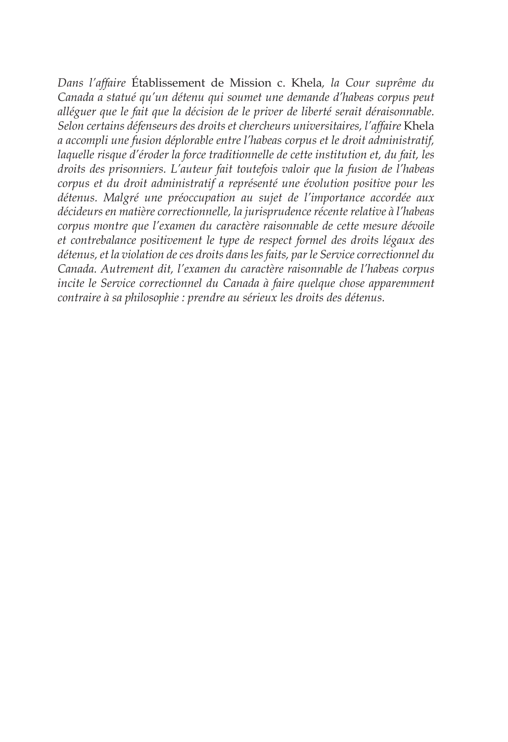*Dans l'affaire* Établissement de Mission c. Khela*, la Cour suprême du Canada a statué qu'un détenu qui soumet une demande d'habeas corpus peut alléguer que le fait que la décision de le priver de liberté serait déraisonnable. Selon certains défenseurs des droits et chercheurs universitaires, l'affaire* Khela *a accompli une fusion déplorable entre l'habeas corpus et le droit administratif, laquelle risque d'éroder la force traditionnelle de cette institution et, du fait, les droits des prisonniers. L'auteur fait toutefois valoir que la fusion de l'habeas corpus et du droit administratif a représenté une évolution positive pour les détenus. Malgré une préoccupation au sujet de l'importance accordée aux décideurs en matière correctionnelle, la jurisprudence récente relative à l'habeas corpus montre que l'examen du caractère raisonnable de cette mesure dévoile et contrebalance positivement le type de respect formel des droits légaux des détenus, et la violation de ces droits dans les faits, par le Service correctionnel du Canada. Autrement dit, l'examen du caractère raisonnable de l'habeas corpus incite le Service correctionnel du Canada à faire quelque chose apparemment contraire à sa philosophie : prendre au sérieux les droits des détenus.*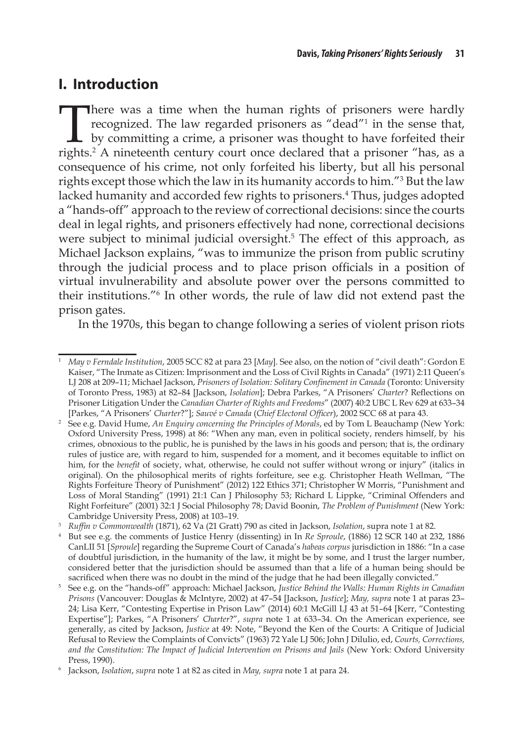# **I. Introduction**

There was a time when the human rights of prisoners were hardly recognized. The law regarded prisoners as "dead"<sup>1</sup> in the sense that,  $\mathsf{\mathsf{L}}$  by committing a crime, a prisoner was thought to have forfeited their rights.2 A nineteenth century court once declared that a prisoner "has, as a consequence of his crime, not only forfeited his liberty, but all his personal rights except those which the law in its humanity accords to him."3 But the law lacked humanity and accorded few rights to prisoners.4 Thus, judges adopted a "hands-off" approach to the review of correctional decisions: since the courts deal in legal rights, and prisoners effectively had none, correctional decisions were subject to minimal judicial oversight.<sup>5</sup> The effect of this approach, as Michael Jackson explains, "was to immunize the prison from public scrutiny through the judicial process and to place prison officials in a position of virtual invulnerability and absolute power over the persons committed to their institutions."6 In other words, the rule of law did not extend past the prison gates.

In the 1970s, this began to change following a series of violent prison riots

<sup>1</sup> *May v Ferndale Institution*, 2005 SCC 82 at para 23 [*May*]. See also, on the notion of "civil death": Gordon E Kaiser, "The Inmate as Citizen: Imprisonment and the Loss of Civil Rights in Canada" (1971) 2:11 Queen's LJ 208 at 209–11; Michael Jackson, *Prisoners of Isolation: Solitary Confinement in Canada* (Toronto: University of Toronto Press, 1983) at 82–84 [Jackson, *Isolation*]; Debra Parkes, "A Prisoners' *Charter*? Reflections on Prisoner Litigation Under the *Canadian Charter of Rights and Freedoms*" (2007) 40:2 UBC L Rev 629 at 633–34 [Parkes, "A Prisoners' *Charter*?"]; *Sauvé v Canada* (*Chief Electoral Officer*), 2002 SCC 68 at para 43.

<sup>&</sup>lt;sup>2</sup> See e.g. David Hume, *An Enquiry concerning the Principles of Morals*, ed by Tom L Beauchamp (New York: Oxford University Press, 1998) at 86: "When any man, even in political society, renders himself, by his crimes, obnoxious to the public, he is punished by the laws in his goods and person; that is, the ordinary rules of justice are, with regard to him, suspended for a moment, and it becomes equitable to inflict on him, for the *benefit* of society, what, otherwise, he could not suffer without wrong or injury" (italics in original). On the philosophical merits of rights forfeiture, see e.g. Christopher Heath Wellman, "The Rights Forfeiture Theory of Punishment" (2012) 122 Ethics 371; Christopher W Morris, "Punishment and Loss of Moral Standing" (1991) 21:1 Can J Philosophy 53; Richard L Lippke, "Criminal Offenders and Right Forfeiture" (2001) 32:1 J Social Philosophy 78; David Boonin, *The Problem of Punishment* (New York: Cambridge University Press, 2008) at 103–19.

<sup>3</sup> *Ruffin v Commonwealth* (1871), 62 Va (21 Gratt) 790 as cited in Jackson, *Isolation*, supra note 1 at 82.

<sup>4</sup> But see e.g. the comments of Justice Henry (dissenting) in In *Re Sproule*, (1886) 12 SCR 140 at 232, 1886 CanLII 51 [*Sproule*] regarding the Supreme Court of Canada's *habeas corpus* jurisdiction in 1886: "In a case of doubtful jurisdiction, in the humanity of the law, it might be by some, and I trust the larger number, considered better that the jurisdiction should be assumed than that a life of a human being should be sacrificed when there was no doubt in the mind of the judge that he had been illegally convicted."

<sup>5</sup> See e.g. on the "hands-off" approach: Michael Jackson, *Justice Behind the Walls: Human Rights in Canadian Prisons* (Vancouver: Douglas & McIntyre, 2002) at 47–54 [Jackson, *Justice*]; *May, supra* note 1 at paras 23– 24; Lisa Kerr, "Contesting Expertise in Prison Law" (2014) 60:1 McGill LJ 43 at 51–64 [Kerr, "Contesting Expertise"]; Parkes, "A Prisoners' *Charter*?", *supra* note 1 at 633–34. On the American experience, see generally, as cited by Jackson, *Justice* at 49: Note, "Beyond the Ken of the Courts: A Critique of Judicial Refusal to Review the Complaints of Convicts" (1963) 72 Yale LJ 506; John J Dilulio, ed, *Courts, Corrections, and the Constitution: The Impact of Judicial Intervention on Prisons and Jails* (New York: Oxford University Press, 1990).

<sup>6</sup> Jackson, *Isolation*, *supra* note 1 at 82 as cited in *May, supra* note 1 at para 24.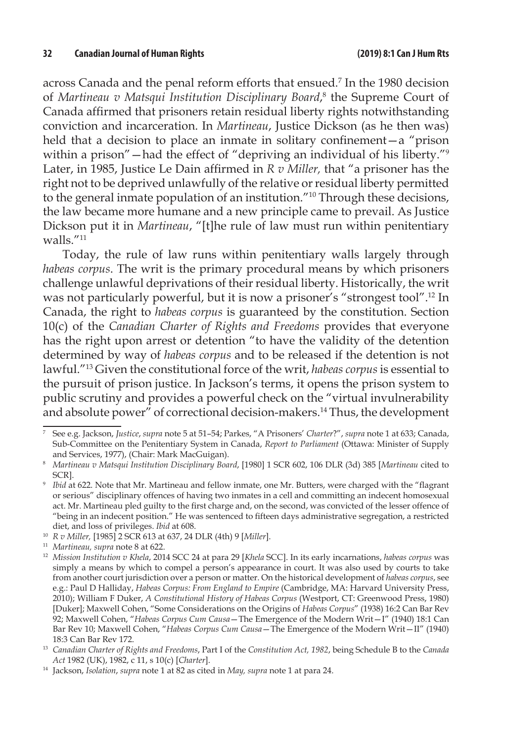across Canada and the penal reform efforts that ensued.7 In the 1980 decision of *Martineau v Matsqui Institution Disciplinary Board*, 8 the Supreme Court of Canada affirmed that prisoners retain residual liberty rights notwithstanding conviction and incarceration. In *Martineau*, Justice Dickson (as he then was) held that a decision to place an inmate in solitary confinement—a "prison within a prison"—had the effect of "depriving an individual of his liberty."<sup>9</sup> Later, in 1985, Justice Le Dain affirmed in *R v Miller,* that "a prisoner has the right not to be deprived unlawfully of the relative or residual liberty permitted to the general inmate population of an institution."10 Through these decisions, the law became more humane and a new principle came to prevail. As Justice Dickson put it in *Martineau*, "[t]he rule of law must run within penitentiary walls<sup>"11</sup>

Today, the rule of law runs within penitentiary walls largely through *habeas corpus*. The writ is the primary procedural means by which prisoners challenge unlawful deprivations of their residual liberty. Historically, the writ was not particularly powerful, but it is now a prisoner's "strongest tool".12 In Canada, the right to *habeas corpus* is guaranteed by the constitution. Section 10(c) of the *Canadian Charter of Rights and Freedoms* provides that everyone has the right upon arrest or detention "to have the validity of the detention determined by way of *habeas corpus* and to be released if the detention is not lawful."13 Given the constitutional force of the writ, *habeas corpus* is essential to the pursuit of prison justice. In Jackson's terms, it opens the prison system to public scrutiny and provides a powerful check on the "virtual invulnerability and absolute power" of correctional decision-makers.14 Thus, the development

<sup>7</sup> See e.g. Jackson, *Justice*, *supra* note 5 at 51–54; Parkes, "A Prisoners' *Charter*?", *supra* note 1 at 633; Canada, Sub-Committee on the Penitentiary System in Canada, *Report to Parliament* (Ottawa: Minister of Supply and Services, 1977), (Chair: Mark MacGuigan).

<sup>8</sup> *Martineau v Matsqui Institution Disciplinary Board*, [1980] 1 SCR 602, 106 DLR (3d) 385 [*Martineau* cited to SCR].

*Ibid* at 622. Note that Mr. Martineau and fellow inmate, one Mr. Butters, were charged with the "flagrant or serious" disciplinary offences of having two inmates in a cell and committing an indecent homosexual act. Mr. Martineau pled guilty to the first charge and, on the second, was convicted of the lesser offence of "being in an indecent position." He was sentenced to fifteen days administrative segregation, a restricted diet, and loss of privileges. *Ibid* at 608.

<sup>10</sup> *R v Miller,* [1985] 2 SCR 613 at 637, 24 DLR (4th) 9 [*Miller*].

<sup>11</sup> *Martineau, supra* note 8 at 622.

<sup>12</sup> *Mission Institution v Khela*, 2014 SCC 24 at para 29 [*Khela* SCC]. In its early incarnations, *habeas corpus* was simply a means by which to compel a person's appearance in court. It was also used by courts to take from another court jurisdiction over a person or matter. On the historical development of *habeas corpus*, see e.g.: Paul D Halliday, *Habeas Corpus: From England to Empire* (Cambridge, MA: Harvard University Press, 2010); William F Duker, *A Constitutional History of Habeas Corpus* (Westport, CT: Greenwood Press, 1980) [Duker]; Maxwell Cohen, "Some Considerations on the Origins of *Habeas Corpus*" (1938) 16:2 Can Bar Rev 92; Maxwell Cohen, "*Habeas Corpus Cum Causa*—The Emergence of the Modern Writ—I" (1940) 18:1 Can Bar Rev 10; Maxwell Cohen, "*Habeas Corpus Cum Causa*—The Emergence of the Modern Writ—II" (1940) 18:3 Can Bar Rev 172.

<sup>13</sup> *Canadian Charter of Rights and Freedoms*, Part I of the *Constitution Act, 1982*, being Schedule B to the *Canada Act* 1982 (UK), 1982, c 11, s 10(c) [*Charter*].

<sup>14</sup> Jackson, *Isolation*, *supra* note 1 at 82 as cited in *May, supra* note 1 at para 24.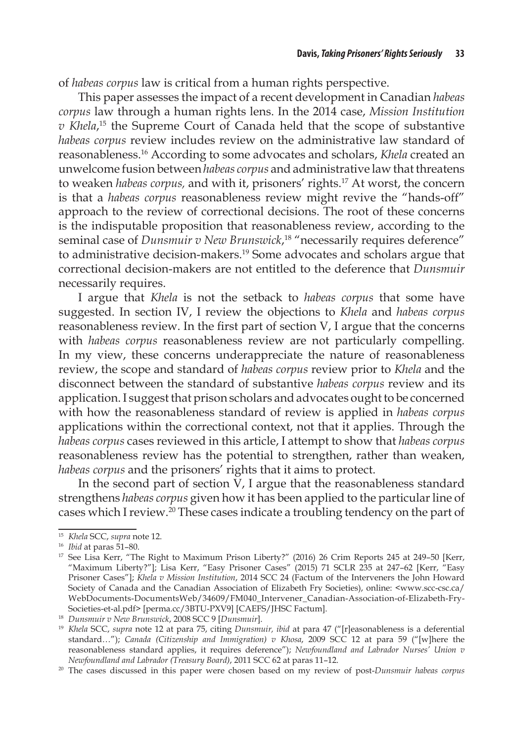of *habeas corpus* law is critical from a human rights perspective.

This paper assesses the impact of a recent development in Canadian *habeas corpus* law through a human rights lens. In the 2014 case, *Mission Institution v Khela*, 15 the Supreme Court of Canada held that the scope of substantive *habeas corpus* review includes review on the administrative law standard of reasonableness.16 According to some advocates and scholars, *Khela* created an unwelcome fusion between *habeas corpus* and administrative law that threatens to weaken *habeas corpus,* and with it, prisoners' rights.17 At worst, the concern is that a *habeas corpus* reasonableness review might revive the "hands-off" approach to the review of correctional decisions. The root of these concerns is the indisputable proposition that reasonableness review, according to the seminal case of *Dunsmuir v New Brunswick*, 18 "necessarily requires deference" to administrative decision-makers.19 Some advocates and scholars argue that correctional decision-makers are not entitled to the deference that *Dunsmuir* necessarily requires.

I argue that *Khela* is not the setback to *habeas corpus* that some have suggested. In section IV, I review the objections to *Khela* and *habeas corpus*  reasonableness review. In the first part of section V, I argue that the concerns with *habeas corpus* reasonableness review are not particularly compelling. In my view, these concerns underappreciate the nature of reasonableness review, the scope and standard of *habeas corpus* review prior to *Khela* and the disconnect between the standard of substantive *habeas corpus* review and its application. I suggest that prison scholars and advocates ought to be concerned with how the reasonableness standard of review is applied in *habeas corpus*  applications within the correctional context, not that it applies. Through the *habeas corpus* cases reviewed in this article, I attempt to show that *habeas corpus* reasonableness review has the potential to strengthen, rather than weaken, *habeas corpus* and the prisoners' rights that it aims to protect.

In the second part of section V, I argue that the reasonableness standard strengthens *habeas corpus* given how it has been applied to the particular line of cases which I review.20 These cases indicate a troubling tendency on the part of

<sup>15</sup> *Khela* SCC, *supra* note 12.

<sup>16</sup> *Ibid* at paras 51–80.

<sup>&</sup>lt;sup>17</sup> See Lisa Kerr, "The Right to Maximum Prison Liberty?" (2016) 26 Crim Reports 245 at 249-50 [Kerr, "Maximum Liberty?"]; Lisa Kerr, "Easy Prisoner Cases" (2015) 71 SCLR 235 at 247–62 [Kerr, "Easy Prisoner Cases"]; *Khela v Mission Institution*, 2014 SCC 24 (Factum of the Interveners the John Howard Society of Canada and the Canadian Association of Elizabeth Fry Societies), online: <www.scc-csc.ca/ WebDocuments-DocumentsWeb/34609/FM040\_Intervener\_Canadian-Association-of-Elizabeth-Fry-Societies-et-al.pdf> [perma.cc/3BTU-PXV9] [CAEFS/JHSC Factum].

<sup>18</sup> *Dunsmuir v New Brunswick*, 2008 SCC 9 [*Dunsmuir*].

<sup>&</sup>lt;sup>19</sup> *Khela* SCC, *supra* note 12 at para 75, citing *Dunsmuir*, *ibid* at para 47 ("[r]easonableness is a deferential standard…"); *Canada (Citizenship and Immigration) v Khosa*, 2009 SCC 12 at para 59 ("[w]here the reasonableness standard applies, it requires deference"); *Newfoundland and Labrador Nurses' Union v Newfoundland and Labrador (Treasury Board)*, 2011 SCC 62 at paras 11–12.

<sup>20</sup> The cases discussed in this paper were chosen based on my review of post-*Dunsmuir habeas corpus*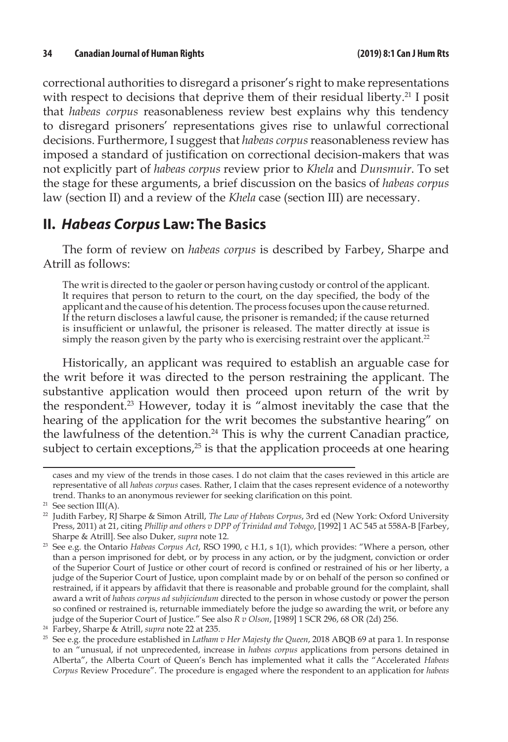correctional authorities to disregard a prisoner's right to make representations with respect to decisions that deprive them of their residual liberty.<sup>21</sup> I posit that *habeas corpus* reasonableness review best explains why this tendency to disregard prisoners' representations gives rise to unlawful correctional decisions. Furthermore, I suggest that *habeas corpus* reasonableness review has imposed a standard of justification on correctional decision-makers that was not explicitly part of *habeas corpus* review prior to *Khela* and *Dunsmuir*. To set the stage for these arguments, a brief discussion on the basics of *habeas corpus*  law (section II) and a review of the *Khela* case (section III) are necessary.

# **II.** *Habeas Corpus* **Law: The Basics**

The form of review on *habeas corpus* is described by Farbey, Sharpe and Atrill as follows:

The writ is directed to the gaoler or person having custody or control of the applicant. It requires that person to return to the court, on the day specified, the body of the applicant and the cause of his detention. The process focuses upon the cause returned. If the return discloses a lawful cause, the prisoner is remanded; if the cause returned is insufficient or unlawful, the prisoner is released. The matter directly at issue is simply the reason given by the party who is exercising restraint over the applicant.<sup>22</sup>

Historically, an applicant was required to establish an arguable case for the writ before it was directed to the person restraining the applicant. The substantive application would then proceed upon return of the writ by the respondent.<sup>23</sup> However, today it is "almost inevitably the case that the hearing of the application for the writ becomes the substantive hearing" on the lawfulness of the detention.<sup>24</sup> This is why the current Canadian practice, subject to certain exceptions, $25$  is that the application proceeds at one hearing

cases and my view of the trends in those cases. I do not claim that the cases reviewed in this article are representative of all *habeas corpus* cases. Rather, I claim that the cases represent evidence of a noteworthy trend. Thanks to an anonymous reviewer for seeking clarification on this point.

 $21$  See section III(A).

<sup>22</sup> Judith Farbey, RJ Sharpe & Simon Atrill, *The Law of Habeas Corpus*, 3rd ed (New York: Oxford University Press, 2011) at 21, citing *Phillip and others v DPP of Trinidad and Tobago*, [1992] 1 AC 545 at 558A-B [Farbey, Sharpe & Atrill]. See also Duker, *supra* note 12.

<sup>&</sup>lt;sup>23</sup> See e.g. the Ontario *Habeas Corpus Act, RSO 1990, c H.1, s 1(1), which provides: "Where a person, other* than a person imprisoned for debt, or by process in any action, or by the judgment, conviction or order of the Superior Court of Justice or other court of record is confined or restrained of his or her liberty, a judge of the Superior Court of Justice, upon complaint made by or on behalf of the person so confined or restrained, if it appears by affidavit that there is reasonable and probable ground for the complaint, shall award a writ of *habeas corpus ad subjiciendum* directed to the person in whose custody or power the person so confined or restrained is, returnable immediately before the judge so awarding the writ, or before any judge of the Superior Court of Justice." See also *R v Olson*, [1989] 1 SCR 296, 68 OR (2d) 256.

<sup>24</sup> Farbey, Sharpe & Atrill, *supra* note 22 at 235.

<sup>25</sup> See e.g. the procedure established in *Latham v Her Majesty the Queen*, 2018 ABQB 69 at para 1. In response to an "unusual, if not unprecedented, increase in *habeas corpus* applications from persons detained in Alberta", the Alberta Court of Queen's Bench has implemented what it calls the "Accelerated *Habeas Corpus* Review Procedure". The procedure is engaged where the respondent to an application for *habeas*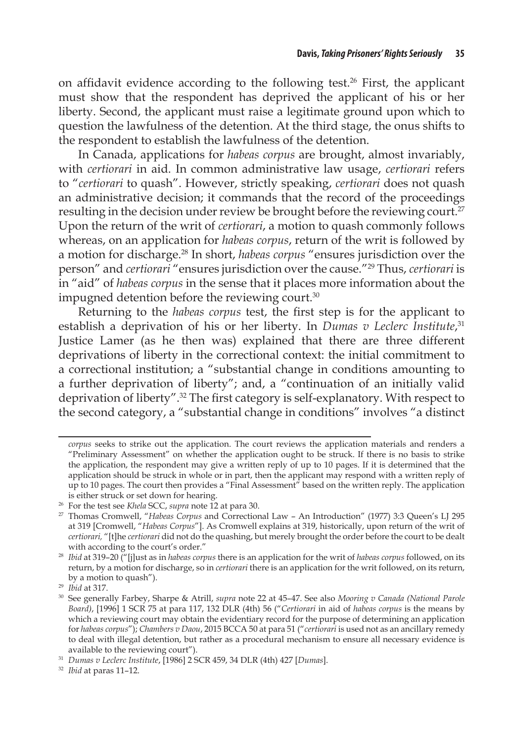on affidavit evidence according to the following test.<sup>26</sup> First, the applicant must show that the respondent has deprived the applicant of his or her liberty. Second, the applicant must raise a legitimate ground upon which to question the lawfulness of the detention. At the third stage, the onus shifts to the respondent to establish the lawfulness of the detention.

In Canada, applications for *habeas corpus* are brought, almost invariably, with *certiorari* in aid. In common administrative law usage, *certiorari* refers to "*certiorari* to quash". However, strictly speaking, *certiorari* does not quash an administrative decision; it commands that the record of the proceedings resulting in the decision under review be brought before the reviewing court.<sup>27</sup> Upon the return of the writ of *certiorari*, a motion to quash commonly follows whereas, on an application for *habeas corpus*, return of the writ is followed by a motion for discharge.28 In short, *habeas corpus* "ensures jurisdiction over the person" and *certiorari* "ensures jurisdiction over the cause."29 Thus, *certiorari* is in "aid" of *habeas corpus* in the sense that it places more information about the impugned detention before the reviewing court.<sup>30</sup>

Returning to the *habeas corpus* test, the first step is for the applicant to establish a deprivation of his or her liberty. In *Dumas v Leclerc Institute*, 31 Justice Lamer (as he then was) explained that there are three different deprivations of liberty in the correctional context: the initial commitment to a correctional institution; a "substantial change in conditions amounting to a further deprivation of liberty"; and, a "continuation of an initially valid deprivation of liberty".32 The first category is self-explanatory. With respect to the second category, a "substantial change in conditions" involves "a distinct

*corpus* seeks to strike out the application. The court reviews the application materials and renders a "Preliminary Assessment" on whether the application ought to be struck. If there is no basis to strike the application, the respondent may give a written reply of up to 10 pages. If it is determined that the application should be struck in whole or in part, then the applicant may respond with a written reply of up to 10 pages. The court then provides a "Final Assessment" based on the written reply. The application is either struck or set down for hearing. 26 For the test see *Khela* SCC, *supra* note 12 at para 30.

<sup>27</sup> Thomas Cromwell, "*Habeas Corpus* and Correctional Law – An Introduction" (1977) 3:3 Queen's LJ 295 at 319 [Cromwell, "*Habeas Corpus*"]. As Cromwell explains at 319, historically, upon return of the writ of *certiorari,* "[t]he *certiorari* did not do the quashing, but merely brought the order before the court to be dealt with according to the court's order."

<sup>28</sup> *Ibid* at 319–20 ("[j]ust as in *habeas corpus* there is an application for the writ of *habeas corpus* followed, on its return, by a motion for discharge, so in *certiorari* there is an application for the writ followed, on its return, by a motion to quash").

<sup>29</sup> *Ibid* at 317.

<sup>30</sup> See generally Farbey, Sharpe & Atrill, *supra* note 22 at 45–47. See also *Mooring v Canada (National Parole Board)*, [1996] 1 SCR 75 at para 117, 132 DLR (4th) 56 ("*Certiorari* in aid of *habeas corpus* is the means by which a reviewing court may obtain the evidentiary record for the purpose of determining an application for *habeas corpus*"); *Chambers v Daou*, 2015 BCCA 50 at para 51 ("*certiorari* is used not as an ancillary remedy to deal with illegal detention, but rather as a procedural mechanism to ensure all necessary evidence is available to the reviewing court").

<sup>31</sup> *Dumas v Leclerc Institute*, [1986] 2 SCR 459, 34 DLR (4th) 427 [*Dumas*].

<sup>32</sup> *Ibid* at paras 11–12.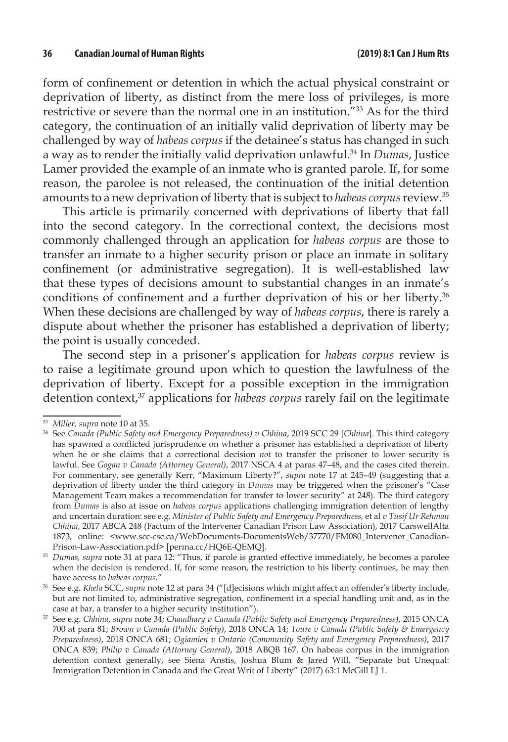form of confinement or detention in which the actual physical constraint or deprivation of liberty, as distinct from the mere loss of privileges, is more restrictive or severe than the normal one in an institution."33 As for the third category, the continuation of an initially valid deprivation of liberty may be challenged by way of *habeas corpus* if the detainee's status has changed in such a way as to render the initially valid deprivation unlawful.34 In *Dumas*, Justice Lamer provided the example of an inmate who is granted parole. If, for some reason, the parolee is not released, the continuation of the initial detention amounts to a new deprivation of liberty that is subject to *habeas corpus* review.35

This article is primarily concerned with deprivations of liberty that fall into the second category. In the correctional context, the decisions most commonly challenged through an application for *habeas corpus* are those to transfer an inmate to a higher security prison or place an inmate in solitary confinement (or administrative segregation). It is well-established law that these types of decisions amount to substantial changes in an inmate's conditions of confinement and a further deprivation of his or her liberty.<sup>36</sup> When these decisions are challenged by way of *habeas corpus*, there is rarely a dispute about whether the prisoner has established a deprivation of liberty; the point is usually conceded.

The second step in a prisoner's application for *habeas corpus* review is to raise a legitimate ground upon which to question the lawfulness of the deprivation of liberty. Except for a possible exception in the immigration detention context,37 applications for *habeas corpus* rarely fail on the legitimate

<sup>33</sup> *Miller, supra* note 10 at 35.

<sup>34</sup> See *Canada (Public Safety and Emergency Preparedness) v Chhina*, 2019 SCC 29 [*Chhina*]. This third category has spawned a conflicted jurisprudence on whether a prisoner has established a deprivation of liberty when he or she claims that a correctional decision *not* to transfer the prisoner to lower security is lawful. See *Gogan v Canada (Attorney General)*, 2017 NSCA 4 at paras 47–48, and the cases cited therein. For commentary, see generally Kerr, "Maximum Liberty?", *supra* note 17 at 245–49 (suggesting that a deprivation of liberty under the third category in *Dumas* may be triggered when the prisoner's "Case Management Team makes a recommendation for transfer to lower security" at 248). The third category from *Dumas* is also at issue on *habeas corpus* applications challenging immigration detention of lengthy and uncertain duration: see e.g. *Minister of Public Safety and Emergency Preparedness,* et al *v Tusif Ur Rehman Chhina*, 2017 ABCA 248 (Factum of the Intervener Canadian Prison Law Association), 2017 CarswellAlta 1873, online: <www.scc-csc.ca/WebDocuments-DocumentsWeb/37770/FM080\_Intervener\_Canadian-Prison-Law-Association.pdf> [perma.cc/HQ6E-QEMQ].

<sup>35</sup> *Dumas, supra* note 31 at para 12: "Thus, if parole is granted effective immediately, he becomes a parolee when the decision is rendered. If, for some reason, the restriction to his liberty continues, he may then have access to *habeas corpus.*"

<sup>36</sup> See e.g. *Khela* SCC, *supra* note 12 at para 34 ("[d]ecisions which might affect an offender's liberty include, but are not limited to, administrative segregation, confinement in a special handling unit and, as in the case at bar, a transfer to a higher security institution").

<sup>37</sup> See e.g. *Chhina*, *supra* note 34; *Chaudhary v Canada (Public Safety and Emergency Preparedness)*, 2015 ONCA 700 at para 81; *Brown v Canada (Public Safety)*, 2018 ONCA 14; *Toure v Canada (Public Safety & Emergency Preparedness)*, 2018 ONCA 681; *Ogiamien v Ontario (Community Safety and Emergency Preparedness)*, 2017 ONCA 839; *Philip v Canada (Attorney General)*, 2018 ABQB 167. On habeas corpus in the immigration detention context generally, see Siena Anstis, Joshua Blum & Jared Will, "Separate but Unequal: Immigration Detention in Canada and the Great Writ of Liberty" (2017) 63:1 McGill LJ 1.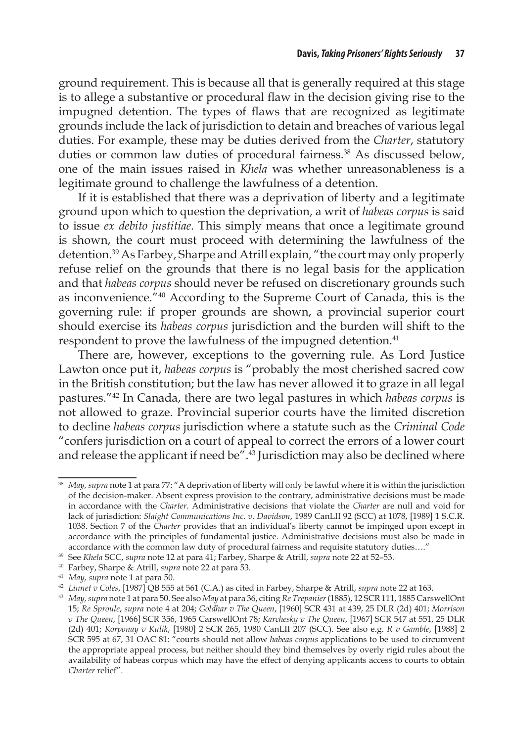ground requirement. This is because all that is generally required at this stage is to allege a substantive or procedural flaw in the decision giving rise to the impugned detention. The types of flaws that are recognized as legitimate grounds include the lack of jurisdiction to detain and breaches of various legal duties. For example, these may be duties derived from the *Charter*, statutory duties or common law duties of procedural fairness.<sup>38</sup> As discussed below, one of the main issues raised in *Khela* was whether unreasonableness is a legitimate ground to challenge the lawfulness of a detention.

If it is established that there was a deprivation of liberty and a legitimate ground upon which to question the deprivation, a writ of *habeas corpus* is said to issue *ex debito justitiae*. This simply means that once a legitimate ground is shown, the court must proceed with determining the lawfulness of the detention.39 As Farbey, Sharpe and Atrill explain, "the court may only properly refuse relief on the grounds that there is no legal basis for the application and that *habeas corpus* should never be refused on discretionary grounds such as inconvenience."40 According to the Supreme Court of Canada, this is the governing rule: if proper grounds are shown, a provincial superior court should exercise its *habeas corpus* jurisdiction and the burden will shift to the respondent to prove the lawfulness of the impugned detention.<sup>41</sup>

There are, however, exceptions to the governing rule. As Lord Justice Lawton once put it, *habeas corpus* is "probably the most cherished sacred cow in the British constitution; but the law has never allowed it to graze in all legal pastures."42 In Canada, there are two legal pastures in which *habeas corpus* is not allowed to graze. Provincial superior courts have the limited discretion to decline *habeas corpus* jurisdiction where a statute such as the *Criminal Code* "confers jurisdiction on a court of appeal to correct the errors of a lower court and release the applicant if need be". $43$  Jurisdiction may also be declined where

<sup>38</sup> *May, supra* note 1 at para 77: "A deprivation of liberty will only be lawful where it is within the jurisdiction of the decision-maker. Absent express provision to the contrary, administrative decisions must be made in accordance with the *Charter*. Administrative decisions that violate the *Charter* are null and void for lack of jurisdiction: *Slaight Communications Inc. v. Davidson*, 1989 CanLII 92 (SCC) at 1078, [1989] 1 S.C.R. 1038. Section 7 of the *Charter* provides that an individual's liberty cannot be impinged upon except in accordance with the principles of fundamental justice. Administrative decisions must also be made in accordance with the common law duty of procedural fairness and requisite statutory duties…."

<sup>39</sup> See *Khela* SCC, *supra* note 12 at para 41; Farbey, Sharpe & Atrill, *supra* note 22 at 52–53.

<sup>40</sup> Farbey, Sharpe & Atrill, *supra* note 22 at para 53.

<sup>41</sup> *May, supra* note 1 at para 50.

<sup>42</sup> *Linnet v Coles*, [1987] QB 555 at 561 (C.A.) as cited in Farbey, Sharpe & Atrill, *supra* note 22 at 163.

<sup>43</sup> *May, supra* note 1 at para 50. See also *May* at para 36, citing *Re Trepanier*(1885), 12 SCR 111, 1885 CarswellOnt 15; *Re Sproule*, *supra* note 4 at 204; *Goldhar v The Queen*, [1960] SCR 431 at 439, 25 DLR (2d) 401; *Morrison v The Queen*, [1966] SCR 356, 1965 CarswellOnt 78; *Karchesky v The Queen*, [1967] SCR 547 at 551, 25 DLR (2d) 401; *Korponay v Kulik*, [1980] 2 SCR 265, 1980 CanLII 207 (SCC). See also e.g. *R v Gamble*, [1988] 2 SCR 595 at 67, 31 OAC 81: "courts should not allow *habeas corpus* applications to be used to circumvent the appropriate appeal process, but neither should they bind themselves by overly rigid rules about the availability of habeas corpus which may have the effect of denying applicants access to courts to obtain *Charter* relief".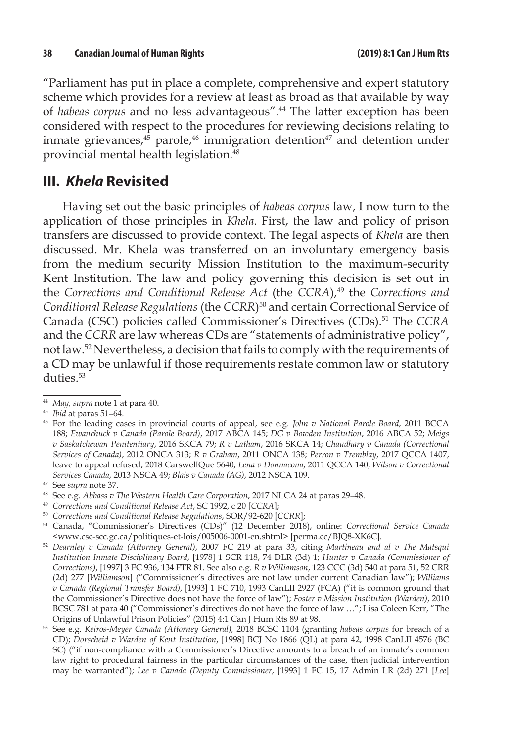"Parliament has put in place a complete, comprehensive and expert statutory scheme which provides for a review at least as broad as that available by way of *habeas corpus* and no less advantageous".44 The latter exception has been considered with respect to the procedures for reviewing decisions relating to inmate grievances, $45$  parole, $46$  immigration detention $47$  and detention under provincial mental health legislation.<sup>48</sup>

## **III.** *Khela* **Revisited**

Having set out the basic principles of *habeas corpus* law, I now turn to the application of those principles in *Khela*. First, the law and policy of prison transfers are discussed to provide context. The legal aspects of *Khela* are then discussed. Mr. Khela was transferred on an involuntary emergency basis from the medium security Mission Institution to the maximum-security Kent Institution. The law and policy governing this decision is set out in the *Corrections and Conditional Release Act* (the *CCRA*),<sup>49</sup> the *Corrections and Conditional Release Regulations* (the *CCRR*)50 and certain Correctional Service of Canada (CSC) policies called Commissioner's Directives (CDs).51 The *CCRA*  and the *CCRR* are law whereas CDs are "statements of administrative policy", not law.52 Nevertheless, a decision that fails to comply with the requirements of a CD may be unlawful if those requirements restate common law or statutory duties.<sup>53</sup>

<sup>49</sup> *Corrections and Conditional Release Act*, SC 1992, c 20 [*CCRA*];

<sup>44</sup> *May, supra* note 1 at para 40.

<sup>45</sup> *Ibid* at paras 51–64.

<sup>46</sup> For the leading cases in provincial courts of appeal, see e.g. *John v National Parole Board*, 2011 BCCA 188; *Ewanchuck v Canada (Parole Board)*, 2017 ABCA 145; *DG v Bowden Institution*, 2016 ABCA 52; *Meigs v Saskatchewan Penitentiary*, 2016 SKCA 79; *R v Latham*, 2016 SKCA 14; *Chaudhary v Canada (Correctional Services of Canada)*, 2012 ONCA 313; *R v Graham*, 2011 ONCA 138; *Perron v Tremblay*, 2017 QCCA 1407, leave to appeal refused, 2018 CarswellQue 5640; *Lena v Donnacona*, 2011 QCCA 140; *Wilson v Correctional Services Canada*, 2013 NSCA 49; *Blais v Canada (AG)*, 2012 NSCA 109.

<sup>47</sup> See *supra* note 37.

<sup>48</sup> See e.g. *Abbass v The Western Health Care Corporation*, 2017 NLCA 24 at paras 29–48.

<sup>50</sup> *Corrections and Conditional Release Regulations*, SOR/92-620 [*CCRR*];

<sup>51</sup> Canada, "Commissioner's Directives (CDs)" (12 December 2018), online: *Correctional Service Canada*  <www.csc-scc.gc.ca/politiques-et-lois/005006-0001-en.shtml> [perma.cc/BJQ8-XK6C].

<sup>52</sup> *Dearnley v Canada (Attorney General)*, 2007 FC 219 at para 33, citing *Martineau and al v The Matsqui Institution Inmate Disciplinary Board*, [1978] 1 SCR 118, 74 DLR (3d) 1; *Hunter v Canada (Commissioner of Corrections)*, [1997] 3 FC 936, 134 FTR 81. See also e.g. *R v Williamson*, 123 CCC (3d) 540 at para 51, 52 CRR (2d) 277 [*Williamson*] ("Commissioner's directives are not law under current Canadian law"); *Williams v Canada (Regional Transfer Board)*, [1993] 1 FC 710, 1993 CanLII 2927 (FCA) ("it is common ground that the Commissioner's Directive does not have the force of law"); *Foster v Mission Institution (Warden)*, 2010 BCSC 781 at para 40 ("Commissioner's directives do not have the force of law …"; Lisa Coleen Kerr, "The Origins of Unlawful Prison Policies" (2015) 4:1 Can J Hum Rts 89 at 98.

<sup>53</sup> See e.g. *Keiros-Meyer Canada (Attorney General),* 2018 BCSC 1104 (granting *habeas corpus* for breach of a CD); *Dorscheid v Warden of Kent Institution*, [1998] BCJ No 1866 (QL) at para 42, 1998 CanLII 4576 (BC SC) ("if non-compliance with a Commissioner's Directive amounts to a breach of an inmate's common law right to procedural fairness in the particular circumstances of the case, then judicial intervention may be warranted"); *Lee v Canada (Deputy Commissioner*, [1993] 1 FC 15, 17 Admin LR (2d) 271 [*Lee*]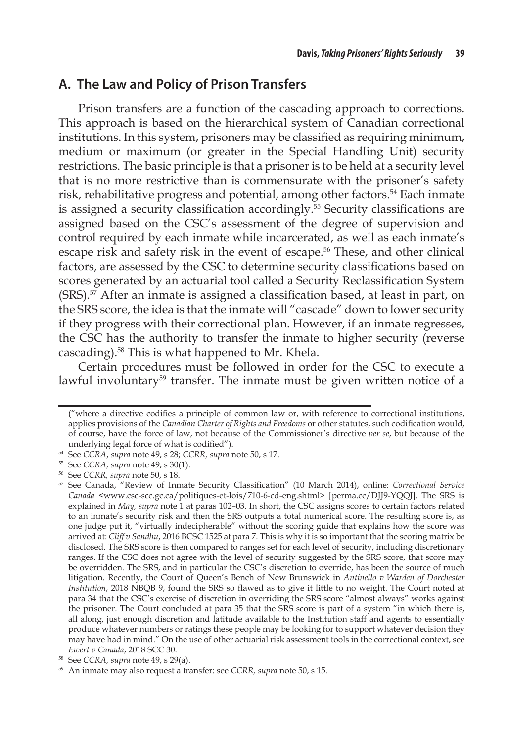#### **A. The Law and Policy of Prison Transfers**

Prison transfers are a function of the cascading approach to corrections. This approach is based on the hierarchical system of Canadian correctional institutions. In this system, prisoners may be classified as requiring minimum, medium or maximum (or greater in the Special Handling Unit) security restrictions. The basic principle is that a prisoner is to be held at a security level that is no more restrictive than is commensurate with the prisoner's safety risk, rehabilitative progress and potential, among other factors.<sup>54</sup> Each inmate is assigned a security classification accordingly.<sup>55</sup> Security classifications are assigned based on the CSC's assessment of the degree of supervision and control required by each inmate while incarcerated, as well as each inmate's escape risk and safety risk in the event of escape.<sup>56</sup> These, and other clinical factors, are assessed by the CSC to determine security classifications based on scores generated by an actuarial tool called a Security Reclassification System (SRS).57 After an inmate is assigned a classification based, at least in part, on the SRS score, the idea is that the inmate will "cascade" down to lower security if they progress with their correctional plan. However, if an inmate regresses, the CSC has the authority to transfer the inmate to higher security (reverse cascading).<sup>58</sup> This is what happened to Mr. Khela.

Certain procedures must be followed in order for the CSC to execute a lawful involuntary<sup>59</sup> transfer. The inmate must be given written notice of a

<sup>(&</sup>quot;where a directive codifies a principle of common law or, with reference to correctional institutions, applies provisions of the *Canadian Charter of Rights and Freedoms* or other statutes, such codification would, of course, have the force of law, not because of the Commissioner's directive *per se*, but because of the underlying legal force of what is codified").

<sup>54</sup> See *CCRA*, *supra* note 49, s 28; *CCRR, supra* note 50, s 17.

<sup>55</sup> See *CCRA, supra* note 49, s 30(1).

<sup>56</sup> See *CCRR, supra* note 50, s 18.

<sup>57</sup> See Canada, "Review of Inmate Security Classification" (10 March 2014), online: *Correctional Service Canada* <www.csc-scc.gc.ca/politiques-et-lois/710-6-cd-eng.shtml> [perma.cc/DJJ9-YQQJ]. The SRS is explained in *May, supra* note 1 at paras 102–03. In short, the CSC assigns scores to certain factors related to an inmate's security risk and then the SRS outputs a total numerical score. The resulting score is, as one judge put it, "virtually indecipherable" without the scoring guide that explains how the score was arrived at: *Cliff v Sandhu*, 2016 BCSC 1525 at para 7. This is why it is so important that the scoring matrix be disclosed. The SRS score is then compared to ranges set for each level of security, including discretionary ranges. If the CSC does not agree with the level of security suggested by the SRS score, that score may be overridden. The SRS, and in particular the CSC's discretion to override, has been the source of much litigation. Recently, the Court of Queen's Bench of New Brunswick in *Antinello v Warden of Dorchester Institution*, 2018 NBQB 9, found the SRS so flawed as to give it little to no weight. The Court noted at para 34 that the CSC's exercise of discretion in overriding the SRS score "almost always" works against the prisoner. The Court concluded at para 35 that the SRS score is part of a system "in which there is, all along, just enough discretion and latitude available to the Institution staff and agents to essentially produce whatever numbers or ratings these people may be looking for to support whatever decision they may have had in mind." On the use of other actuarial risk assessment tools in the correctional context, see *Ewert v Canada*, 2018 SCC 30. 58 See *CCRA, supra* note 49, s 29(a).

<sup>59</sup> An inmate may also request a transfer: see *CCRR, supra* note 50, s 15.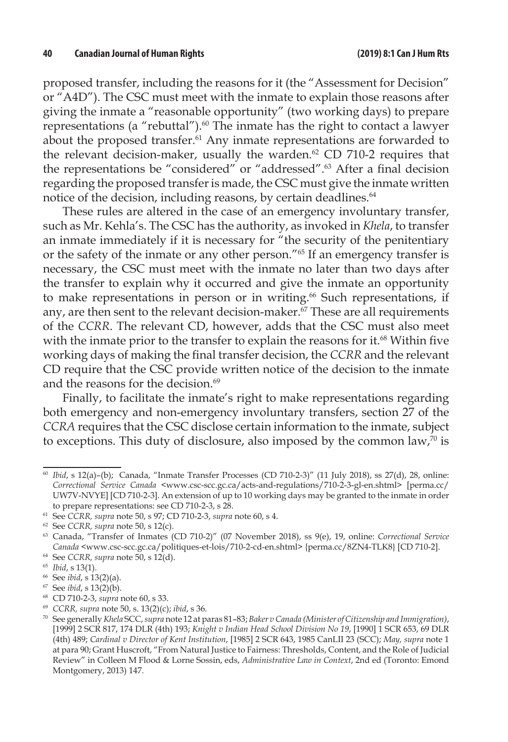proposed transfer, including the reasons for it (the "Assessment for Decision" or "A4D"). The CSC must meet with the inmate to explain those reasons after giving the inmate a "reasonable opportunity" (two working days) to prepare representations (a "rebuttal"). $60$  The inmate has the right to contact a lawyer about the proposed transfer.<sup>61</sup> Any inmate representations are forwarded to the relevant decision-maker, usually the warden. $62$  CD 710-2 requires that the representations be "considered" or "addressed".63 After a final decision regarding the proposed transfer is made, the CSC must give the inmate written notice of the decision, including reasons, by certain deadlines.<sup>64</sup>

These rules are altered in the case of an emergency involuntary transfer, such as Mr. Kehla's. The CSC has the authority, as invoked in *Khela*, to transfer an inmate immediately if it is necessary for "the security of the penitentiary or the safety of the inmate or any other person."65 If an emergency transfer is necessary, the CSC must meet with the inmate no later than two days after the transfer to explain why it occurred and give the inmate an opportunity to make representations in person or in writing.<sup>66</sup> Such representations, if any, are then sent to the relevant decision-maker. $\frac{67}{7}$  These are all requirements of the *CCRR*. The relevant CD, however, adds that the CSC must also meet with the inmate prior to the transfer to explain the reasons for it.<sup>68</sup> Within five working days of making the final transfer decision, the *CCRR* and the relevant CD require that the CSC provide written notice of the decision to the inmate and the reasons for the decision.<sup>69</sup>

Finally, to facilitate the inmate's right to make representations regarding both emergency and non-emergency involuntary transfers, section 27 of the *CCRA* requires that the CSC disclose certain information to the inmate, subject to exceptions. This duty of disclosure, also imposed by the common law, $70$  is

<sup>60</sup> *Ibid*, s 12(a)–(b); Canada, "Inmate Transfer Processes (CD 710-2-3)" (11 July 2018), ss 27(d), 28, online: *Correctional Service Canada* <www.csc-scc.gc.ca/acts-and-regulations/710-2-3-gl-en.shtml> [perma.cc/ UW7V-NVYE] [CD 710-2-3]. An extension of up to 10 working days may be granted to the inmate in order to prepare representations: see CD 710-2-3, s 28.

<sup>61</sup> See *CCRR, supra* note 50, s 97; CD 710-2-3, *supra* note 60, s 4.

<sup>62</sup> See *CCRR, supra* note 50, s 12(c).

<sup>63</sup> Canada, "Transfer of Inmates (CD 710-2)" (07 November 2018), ss 9(e), 19, online: *Correctional Service Canada* <www.csc-scc.gc.ca/politiques-et-lois/710-2-cd-en.shtml> {perma.cc/8ZN4-TLK8} [CD 710-2]. 64 See *CCRR, supra* note 50, s 12(d).

<sup>65</sup> *Ibid*, s 13(1).

<sup>66</sup> See *ibid*, s 13(2)(a).

<sup>67</sup> See *ibid*, s 13(2)(b).

<sup>68</sup> CD 710-2-3, *supra* note 60, s 33.

<sup>69</sup> *CCRR, supra* note 50, s. 13(2)(c); *ibid*, s 36.

<sup>70</sup> See generally *Khela* SCC, *supra* note 12 at paras 81–83; *Baker v Canada (Minister of Citizenship and Immigration)*, [1999] 2 SCR 817, 174 DLR (4th) 193; *Knight v Indian Head School Division No 19*, [1990] 1 SCR 653, 69 DLR (4th) 489; *Cardinal v Director of Kent Institution*, [1985] 2 SCR 643, 1985 CanLII 23 (SCC); *May, supra* note 1 at para 90; Grant Huscroft, "From Natural Justice to Fairness: Thresholds, Content, and the Role of Judicial Review" in Colleen M Flood & Lorne Sossin, eds, *Administrative Law in Context*, 2nd ed (Toronto: Emond Montgomery, 2013) 147.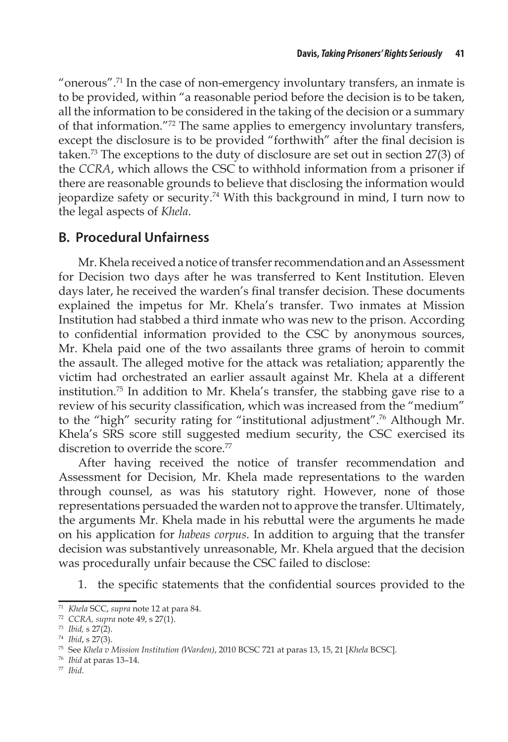"onerous".<sup>71</sup> In the case of non-emergency involuntary transfers, an inmate is to be provided, within "a reasonable period before the decision is to be taken, all the information to be considered in the taking of the decision or a summary of that information."72 The same applies to emergency involuntary transfers, except the disclosure is to be provided "forthwith" after the final decision is taken.73 The exceptions to the duty of disclosure are set out in section 27(3) of the *CCRA*, which allows the CSC to withhold information from a prisoner if there are reasonable grounds to believe that disclosing the information would jeopardize safety or security.74 With this background in mind, I turn now to the legal aspects of *Khela*.

## **B. Procedural Unfairness**

Mr. Khela received a notice of transfer recommendation and an Assessment for Decision two days after he was transferred to Kent Institution. Eleven days later, he received the warden's final transfer decision. These documents explained the impetus for Mr. Khela's transfer. Two inmates at Mission Institution had stabbed a third inmate who was new to the prison. According to confidential information provided to the CSC by anonymous sources, Mr. Khela paid one of the two assailants three grams of heroin to commit the assault. The alleged motive for the attack was retaliation; apparently the victim had orchestrated an earlier assault against Mr. Khela at a different institution.<sup>75</sup> In addition to Mr. Khela's transfer, the stabbing gave rise to a review of his security classification, which was increased from the "medium" to the "high" security rating for "institutional adjustment".76 Although Mr. Khela's SRS score still suggested medium security, the CSC exercised its discretion to override the score.<sup>77</sup>

After having received the notice of transfer recommendation and Assessment for Decision, Mr. Khela made representations to the warden through counsel, as was his statutory right. However, none of those representations persuaded the warden not to approve the transfer. Ultimately, the arguments Mr. Khela made in his rebuttal were the arguments he made on his application for *habeas corpus*. In addition to arguing that the transfer decision was substantively unreasonable, Mr. Khela argued that the decision was procedurally unfair because the CSC failed to disclose:

1. the specific statements that the confidential sources provided to the

<sup>77</sup> *Ibid*.

<sup>71</sup> *Khela* SCC, *supra* note 12 at para 84.

<sup>72</sup> *CCRA, supra* note 49, s 27(1).

<sup>73</sup> *Ibid,* s 27(2).

<sup>74</sup> *Ibid*, s 27(3).

<sup>75</sup> See *Khela v Mission Institution (Warden)*, 2010 BCSC 721 at paras 13, 15, 21 [*Khela* BCSC].

<sup>76</sup> *Ibid* at paras 13–14.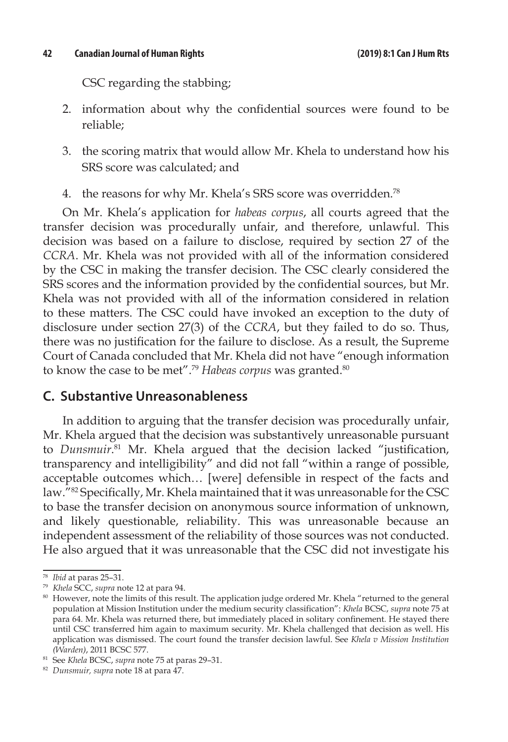CSC regarding the stabbing;

- 2. information about why the confidential sources were found to be reliable;
- 3. the scoring matrix that would allow Mr. Khela to understand how his SRS score was calculated; and
- 4. the reasons for why Mr. Khela's SRS score was overridden.78

On Mr. Khela's application for *habeas corpus*, all courts agreed that the transfer decision was procedurally unfair, and therefore, unlawful. This decision was based on a failure to disclose, required by section 27 of the *CCRA*. Mr. Khela was not provided with all of the information considered by the CSC in making the transfer decision. The CSC clearly considered the SRS scores and the information provided by the confidential sources, but Mr. Khela was not provided with all of the information considered in relation to these matters. The CSC could have invoked an exception to the duty of disclosure under section 27(3) of the *CCRA*, but they failed to do so. Thus, there was no justification for the failure to disclose. As a result, the Supreme Court of Canada concluded that Mr. Khela did not have "enough information to know the case to be met".<sup>79</sup> *Habeas corpus* was granted.<sup>80</sup>

#### **C. Substantive Unreasonableness**

In addition to arguing that the transfer decision was procedurally unfair, Mr. Khela argued that the decision was substantively unreasonable pursuant to *Dunsmuir*. <sup>81</sup> Mr. Khela argued that the decision lacked "justification, transparency and intelligibility" and did not fall "within a range of possible, acceptable outcomes which… [were] defensible in respect of the facts and law."82 Specifically, Mr. Khela maintained that it was unreasonable for the CSC to base the transfer decision on anonymous source information of unknown, and likely questionable, reliability. This was unreasonable because an independent assessment of the reliability of those sources was not conducted. He also argued that it was unreasonable that the CSC did not investigate his

<sup>78</sup> *Ibid* at paras 25–31.

<sup>79</sup> *Khela* SCC, *supra* note 12 at para 94.

<sup>80</sup> However, note the limits of this result. The application judge ordered Mr. Khela "returned to the general population at Mission Institution under the medium security classification": *Khela* BCSC, *supra* note 75 at para 64. Mr. Khela was returned there, but immediately placed in solitary confinement. He stayed there until CSC transferred him again to maximum security. Mr. Khela challenged that decision as well. His application was dismissed. The court found the transfer decision lawful. See *Khela v Mission Institution (Warden)*, 2011 BCSC 577.

<sup>81</sup> See *Khela* BCSC, *supra* note 75 at paras 29–31.

<sup>82</sup> *Dunsmuir, supra* note 18 at para 47.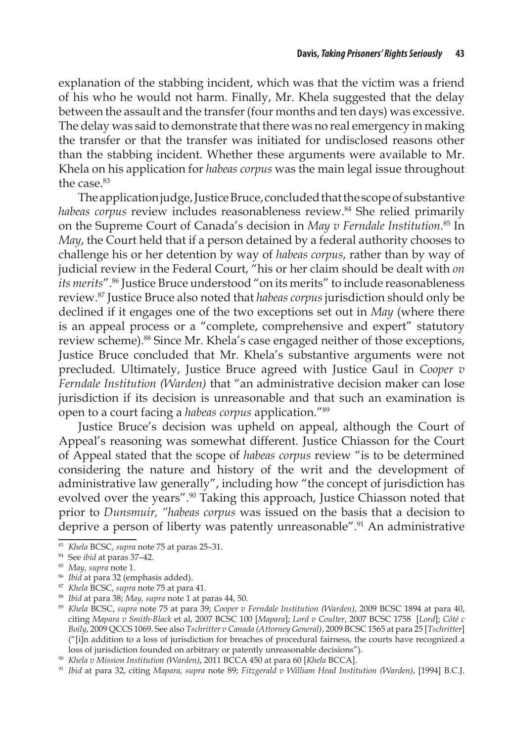explanation of the stabbing incident, which was that the victim was a friend of his who he would not harm. Finally, Mr. Khela suggested that the delay between the assault and the transfer (four months and ten days) was excessive. The delay was said to demonstrate that there was no real emergency in making the transfer or that the transfer was initiated for undisclosed reasons other than the stabbing incident. Whether these arguments were available to Mr. Khela on his application for *habeas corpus* was the main legal issue throughout the case.<sup>83</sup>

The application judge, Justice Bruce, concluded that the scope of substantive *habeas corpus* review includes reasonableness review.84 She relied primarily on the Supreme Court of Canada's decision in *May v Ferndale Institution*. 85 In *May*, the Court held that if a person detained by a federal authority chooses to challenge his or her detention by way of *habeas corpus*, rather than by way of judicial review in the Federal Court, "his or her claim should be dealt with *on its merits*".86 Justice Bruce understood "on its merits" to include reasonableness review.87 Justice Bruce also noted that *habeas corpus* jurisdiction should only be declined if it engages one of the two exceptions set out in *May* (where there is an appeal process or a "complete, comprehensive and expert" statutory review scheme).<sup>88</sup> Since Mr. Khela's case engaged neither of those exceptions, Justice Bruce concluded that Mr. Khela's substantive arguments were not precluded. Ultimately, Justice Bruce agreed with Justice Gaul in *Cooper v Ferndale Institution (Warden)* that "an administrative decision maker can lose jurisdiction if its decision is unreasonable and that such an examination is open to a court facing a *habeas corpus* application."89

Justice Bruce's decision was upheld on appeal, although the Court of Appeal's reasoning was somewhat different. Justice Chiasson for the Court of Appeal stated that the scope of *habeas corpus* review "is to be determined considering the nature and history of the writ and the development of administrative law generally", including how "the concept of jurisdiction has evolved over the years".<sup>90</sup> Taking this approach, Justice Chiasson noted that prior to *Dunsmuir, "habeas corpus* was issued on the basis that a decision to deprive a person of liberty was patently unreasonable".<sup>91</sup> An administrative

<sup>87</sup> *Khela* BCSC, *supra* note 75 at para 41.

<sup>83</sup> *Khela* BCSC, *supra* note 75 at paras 25–31.

<sup>84</sup> See *ibid* at paras 37–42.

<sup>85</sup> *May, supra* note 1.

<sup>86</sup> *Ibid* at para 32 (emphasis added).

<sup>88</sup> *Ibid* at para 38; *May, supra* note 1 at paras 44, 50.

<sup>89</sup> *Khela* BCSC, *supra* note 75 at para 39; *Cooper v Ferndale Institution (Warden)*, 2009 BCSC 1894 at para 40, citing *Mapara v Smith-Black* et al, 2007 BCSC 100 [*Mapara*]; *Lord v Coulter*, 2007 BCSC 1758 [*Lord*]; *Côté c Boily*, 2009 QCCS 1069. See also *Tschritter v Canada (Attorney General)*, 2009 BCSC 1565 at para 25 [*Tschritter*] ("[i]n addition to a loss of jurisdiction for breaches of procedural fairness, the courts have recognized a loss of jurisdiction founded on arbitrary or patently unreasonable decisions").

<sup>90</sup> *Khela v Mission Institution (Warden)*, 2011 BCCA 450 at para 60 [*Khela* BCCA].

<sup>91</sup> *Ibid* at para 32, citing *Mapara, supra* note 89; *Fitzgerald v William Head Institution (Warden)*, [1994] B.C.J.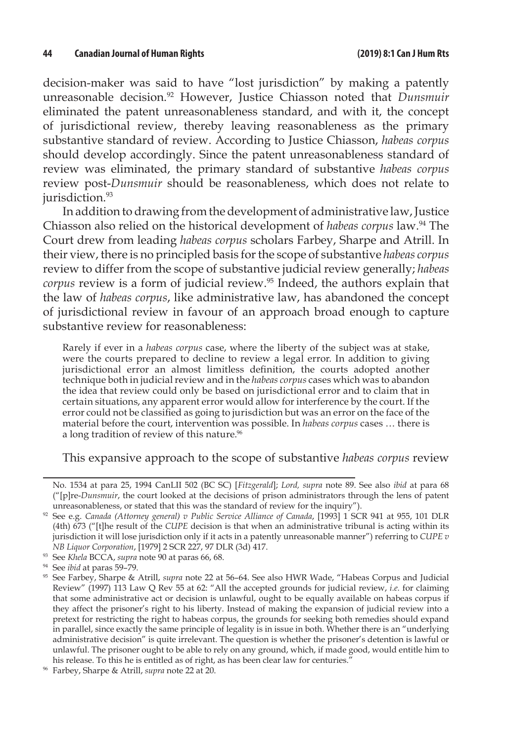decision-maker was said to have "lost jurisdiction" by making a patently unreasonable decision.<sup>92</sup> However, Justice Chiasson noted that *Dunsmuir* eliminated the patent unreasonableness standard, and with it, the concept of jurisdictional review, thereby leaving reasonableness as the primary substantive standard of review. According to Justice Chiasson, *habeas corpus*  should develop accordingly. Since the patent unreasonableness standard of review was eliminated, the primary standard of substantive *habeas corpus*  review post-*Dunsmuir* should be reasonableness, which does not relate to jurisdiction.<sup>93</sup>

In addition to drawing from the development of administrative law, Justice Chiasson also relied on the historical development of *habeas corpus* law.94 The Court drew from leading *habeas corpus* scholars Farbey, Sharpe and Atrill. In their view, there is no principled basis for the scope of substantive *habeas corpus* review to differ from the scope of substantive judicial review generally; *habeas*  corpus review is a form of judicial review.<sup>95</sup> Indeed, the authors explain that the law of *habeas corpus*, like administrative law, has abandoned the concept of jurisdictional review in favour of an approach broad enough to capture substantive review for reasonableness:

Rarely if ever in a *habeas corpus* case, where the liberty of the subject was at stake, were the courts prepared to decline to review a legal error. In addition to giving jurisdictional error an almost limitless definition, the courts adopted another technique both in judicial review and in the *habeas corpus* cases which was to abandon the idea that review could only be based on jurisdictional error and to claim that in certain situations, any apparent error would allow for interference by the court. If the error could not be classified as going to jurisdiction but was an error on the face of the material before the court, intervention was possible. In *habeas corpus* cases … there is a long tradition of review of this nature.<sup>96</sup>

This expansive approach to the scope of substantive *habeas corpus* review

No. 1534 at para 25, 1994 CanLII 502 (BC SC) [*Fitzgerald*]; *Lord, supra* note 89. See also *ibid* at para 68 ("[p]re-*Dunsmuir*, the court looked at the decisions of prison administrators through the lens of patent unreasonableness, or stated that this was the standard of review for the inquiry").

<sup>92</sup> See e.g. *Canada (Attorney general) v Public Service Alliance of Canada*, [1993] 1 SCR 941 at 955, 101 DLR (4th) 673 ("[t]he result of the *CUPE* decision is that when an administrative tribunal is acting within its jurisdiction it will lose jurisdiction only if it acts in a patently unreasonable manner") referring to *CUPE v NB Liquor Corporation*, [1979] 2 SCR 227, 97 DLR (3d) 417.

<sup>93</sup> See *Khela* BCCA, *supra* note 90 at paras 66, 68.

<sup>94</sup> See *ibid* at paras 59–79.

<sup>95</sup> See Farbey, Sharpe & Atrill, *supra* note 22 at 56–64. See also HWR Wade, "Habeas Corpus and Judicial Review" (1997) 113 Law Q Rev 55 at 62: "All the accepted grounds for judicial review, *i.e.* for claiming that some administrative act or decision is unlawful, ought to be equally available on habeas corpus if they affect the prisoner's right to his liberty. Instead of making the expansion of judicial review into a pretext for restricting the right to habeas corpus, the grounds for seeking both remedies should expand in parallel, since exactly the same principle of legality is in issue in both. Whether there is an "underlying administrative decision" is quite irrelevant. The question is whether the prisoner's detention is lawful or unlawful. The prisoner ought to be able to rely on any ground, which, if made good, would entitle him to his release. To this he is entitled as of right, as has been clear law for centuries."

<sup>96</sup> Farbey, Sharpe & Atrill, *supra* note 22 at 20.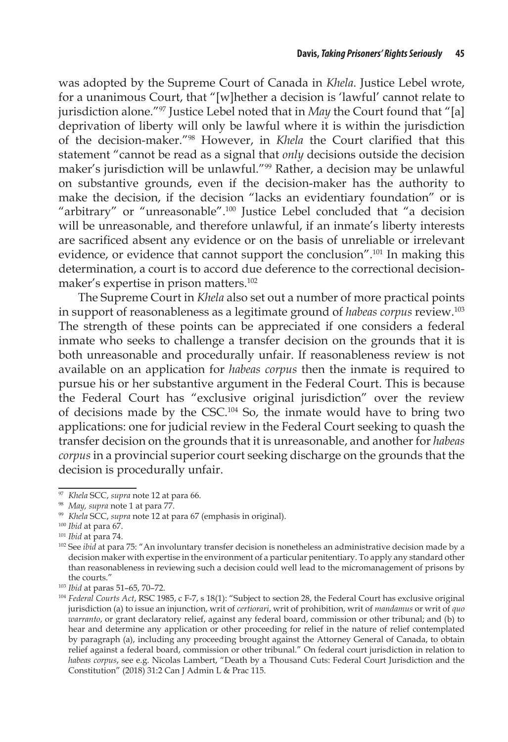was adopted by the Supreme Court of Canada in *Khela*. Justice Lebel wrote, for a unanimous Court, that "[w]hether a decision is 'lawful' cannot relate to jurisdiction alone."97 Justice Lebel noted that in *May* the Court found that "[a] deprivation of liberty will only be lawful where it is within the jurisdiction of the decision-maker."98 However, in *Khela* the Court clarified that this statement "cannot be read as a signal that *only* decisions outside the decision maker's jurisdiction will be unlawful."99 Rather, a decision may be unlawful on substantive grounds, even if the decision-maker has the authority to make the decision, if the decision "lacks an evidentiary foundation" or is "arbitrary" or "unreasonable".<sup>100</sup> Justice Lebel concluded that "a decision will be unreasonable, and therefore unlawful, if an inmate's liberty interests are sacrificed absent any evidence or on the basis of unreliable or irrelevant evidence, or evidence that cannot support the conclusion".<sup>101</sup> In making this determination, a court is to accord due deference to the correctional decisionmaker's expertise in prison matters.<sup>102</sup>

The Supreme Court in *Khela* also set out a number of more practical points in support of reasonableness as a legitimate ground of *habeas corpus* review.103 The strength of these points can be appreciated if one considers a federal inmate who seeks to challenge a transfer decision on the grounds that it is both unreasonable and procedurally unfair. If reasonableness review is not available on an application for *habeas corpus* then the inmate is required to pursue his or her substantive argument in the Federal Court. This is because the Federal Court has "exclusive original jurisdiction" over the review of decisions made by the CSC.104 So, the inmate would have to bring two applications: one for judicial review in the Federal Court seeking to quash the transfer decision on the grounds that it is unreasonable, and another for *habeas corpus* in a provincial superior court seeking discharge on the grounds that the decision is procedurally unfair.

<sup>97</sup> *Khela* SCC, *supra* note 12 at para 66.

<sup>98</sup> *May, supra* note 1 at para 77.

<sup>99</sup> *Khela* SCC, *supra* note 12 at para 67 (emphasis in original).

<sup>100</sup> *Ibid* at para 67.

<sup>101</sup> *Ibid* at para 74.

<sup>&</sup>lt;sup>102</sup> See *ibid* at para 75: "An involuntary transfer decision is nonetheless an administrative decision made by a decision maker with expertise in the environment of a particular penitentiary. To apply any standard other than reasonableness in reviewing such a decision could well lead to the micromanagement of prisons by the courts."

<sup>103</sup> *Ibid* at paras 51–65, 70–72.

<sup>104</sup> *Federal Courts Act*, RSC 1985, c F-7, s 18(1): "Subject to section 28, the Federal Court has exclusive original jurisdiction (a) to issue an injunction, writ of *certiorari*, writ of prohibition, writ of *mandamus* or writ of *quo warranto*, or grant declaratory relief, against any federal board, commission or other tribunal; and (b) to hear and determine any application or other proceeding for relief in the nature of relief contemplated by paragraph (a), including any proceeding brought against the Attorney General of Canada, to obtain relief against a federal board, commission or other tribunal." On federal court jurisdiction in relation to *habeas corpus*, see e.g. Nicolas Lambert, "Death by a Thousand Cuts: Federal Court Jurisdiction and the Constitution" (2018) 31:2 Can J Admin L & Prac 115.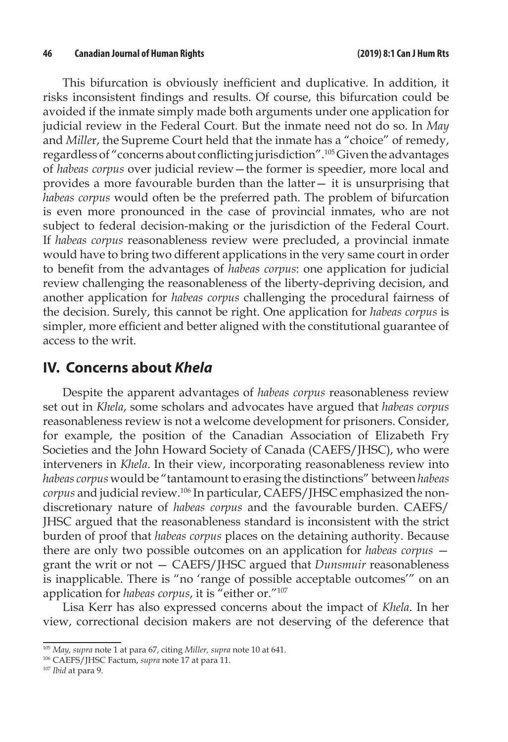This bifurcation is obviously inefficient and duplicative. In addition, it risks inconsistent findings and results. Of course, this bifurcation could be avoided if the inmate simply made both arguments under one application for judicial review in the Federal Court. But the inmate need not do so. In *May* and *Mille*r, the Supreme Court held that the inmate has a "choice" of remedy, regardless of "concerns about conflicting jurisdiction".105 Given the advantages of *habeas corpus* over judicial review—the former is speedier, more local and provides a more favourable burden than the latter— it is unsurprising that *habeas corpus* would often be the preferred path. The problem of bifurcation is even more pronounced in the case of provincial inmates, who are not subject to federal decision-making or the jurisdiction of the Federal Court. If *habeas corpus* reasonableness review were precluded, a provincial inmate would have to bring two different applications in the very same court in order to benefit from the advantages of *habeas corpus*: one application for judicial review challenging the reasonableness of the liberty-depriving decision, and another application for *habeas corpus* challenging the procedural fairness of the decision. Surely, this cannot be right. One application for *habeas corpus* is simpler, more efficient and better aligned with the constitutional guarantee of access to the writ.

### **IV. Concerns about** *Khela*

Despite the apparent advantages of *habeas corpus* reasonableness review set out in *Khela*, some scholars and advocates have argued that *habeas corpus* reasonableness review is not a welcome development for prisoners. Consider, for example, the position of the Canadian Association of Elizabeth Fry Societies and the John Howard Society of Canada (CAEFS/JHSC), who were interveners in *Khela*. In their view, incorporating reasonableness review into *habeas corpus* would be "tantamount to erasing the distinctions" between *habeas corpus* and judicial review.106 In particular, CAEFS/JHSC emphasized the nondiscretionary nature of *habeas corpus* and the favourable burden. CAEFS/ JHSC argued that the reasonableness standard is inconsistent with the strict burden of proof that *habeas corpus* places on the detaining authority. Because there are only two possible outcomes on an application for *habeas corpus*  grant the writ or not — CAEFS/JHSC argued that *Dunsmuir* reasonableness is inapplicable. There is "no 'range of possible acceptable outcomes'" on an application for *habeas corpus*, it is "either or."107

Lisa Kerr has also expressed concerns about the impact of *Khela*. In her view, correctional decision makers are not deserving of the deference that

<sup>105</sup> *May, supra* note 1 at para 67, citing *Miller, supra* note 10 at 641.

<sup>106</sup> CAEFS/JHSC Factum, *supra* note 17 at para 11.

<sup>107</sup> *Ibid* at para 9.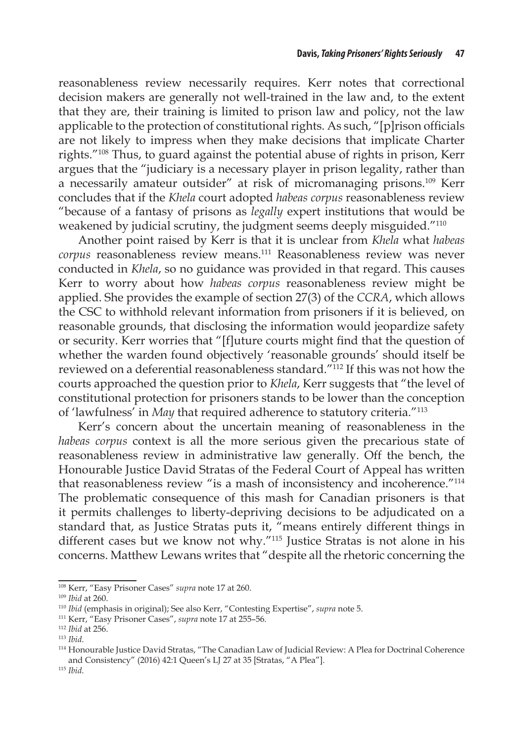reasonableness review necessarily requires. Kerr notes that correctional decision makers are generally not well-trained in the law and, to the extent that they are, their training is limited to prison law and policy, not the law applicable to the protection of constitutional rights. As such, "[p]rison officials are not likely to impress when they make decisions that implicate Charter rights."108 Thus, to guard against the potential abuse of rights in prison, Kerr argues that the "judiciary is a necessary player in prison legality, rather than a necessarily amateur outsider" at risk of micromanaging prisons.109 Kerr concludes that if the *Khela* court adopted *habeas corpus* reasonableness review "because of a fantasy of prisons as *legally* expert institutions that would be weakened by judicial scrutiny, the judgment seems deeply misguided."<sup>110</sup>

Another point raised by Kerr is that it is unclear from *Khela* what *habeas corpus* reasonableness review means.111 Reasonableness review was never conducted in *Khela*, so no guidance was provided in that regard. This causes Kerr to worry about how *habeas corpus* reasonableness review might be applied. She provides the example of section 27(3) of the *CCRA*, which allows the CSC to withhold relevant information from prisoners if it is believed, on reasonable grounds, that disclosing the information would jeopardize safety or security. Kerr worries that "[f]uture courts might find that the question of whether the warden found objectively 'reasonable grounds' should itself be reviewed on a deferential reasonableness standard."112 If this was not how the courts approached the question prior to *Khela*, Kerr suggests that "the level of constitutional protection for prisoners stands to be lower than the conception of 'lawfulness' in *May* that required adherence to statutory criteria."113

Kerr's concern about the uncertain meaning of reasonableness in the *habeas corpus* context is all the more serious given the precarious state of reasonableness review in administrative law generally. Off the bench, the Honourable Justice David Stratas of the Federal Court of Appeal has written that reasonableness review "is a mash of inconsistency and incoherence."114 The problematic consequence of this mash for Canadian prisoners is that it permits challenges to liberty-depriving decisions to be adjudicated on a standard that, as Justice Stratas puts it, "means entirely different things in different cases but we know not why."115 Justice Stratas is not alone in his concerns. Matthew Lewans writes that "despite all the rhetoric concerning the

<sup>108</sup> Kerr, "Easy Prisoner Cases" *supra* note 17 at 260.

<sup>109</sup> *Ibid* at 260.

<sup>110</sup> *Ibid* (emphasis in original); See also Kerr, "Contesting Expertise", *supra* note 5.

<sup>111</sup> Kerr, "Easy Prisoner Cases", *supra* note 17 at 255–56.

<sup>112</sup> *Ibid* at 256.

<sup>113</sup> *Ibid*.

<sup>114</sup> Honourable Justice David Stratas, "The Canadian Law of Judicial Review: A Plea for Doctrinal Coherence and Consistency" (2016) 42:1 Queen's LJ 27 at 35 [Stratas, "A Plea"].

<sup>115</sup> *Ibid*.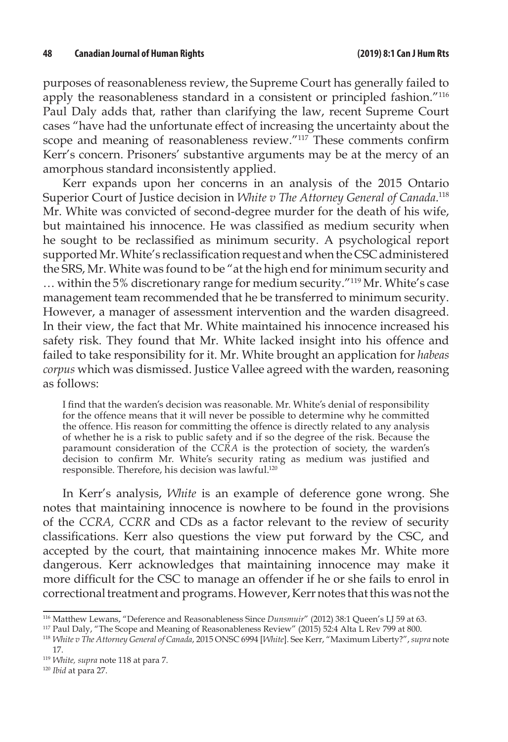purposes of reasonableness review, the Supreme Court has generally failed to apply the reasonableness standard in a consistent or principled fashion."116 Paul Daly adds that, rather than clarifying the law, recent Supreme Court cases "have had the unfortunate effect of increasing the uncertainty about the scope and meaning of reasonableness review."117 These comments confirm Kerr's concern. Prisoners' substantive arguments may be at the mercy of an amorphous standard inconsistently applied.

Kerr expands upon her concerns in an analysis of the 2015 Ontario Superior Court of Justice decision in *White v The Attorney General of Canada*. 118 Mr. White was convicted of second-degree murder for the death of his wife, but maintained his innocence. He was classified as medium security when he sought to be reclassified as minimum security. A psychological report supported Mr. White's reclassification request and when the CSC administered the SRS, Mr. White was found to be "at the high end for minimum security and … within the 5% discretionary range for medium security."119 Mr. White's case management team recommended that he be transferred to minimum security. However, a manager of assessment intervention and the warden disagreed. In their view, the fact that Mr. White maintained his innocence increased his safety risk. They found that Mr. White lacked insight into his offence and failed to take responsibility for it. Mr. White brought an application for *habeas corpus* which was dismissed. Justice Vallee agreed with the warden, reasoning as follows:

I find that the warden's decision was reasonable. Mr. White's denial of responsibility for the offence means that it will never be possible to determine why he committed the offence. His reason for committing the offence is directly related to any analysis of whether he is a risk to public safety and if so the degree of the risk. Because the paramount consideration of the *CCRA* is the protection of society, the warden's decision to confirm Mr. White's security rating as medium was justified and responsible. Therefore, his decision was lawful.120

In Kerr's analysis, *White* is an example of deference gone wrong. She notes that maintaining innocence is nowhere to be found in the provisions of the *CCRA, CCRR* and CDs as a factor relevant to the review of security classifications. Kerr also questions the view put forward by the CSC, and accepted by the court, that maintaining innocence makes Mr. White more dangerous. Kerr acknowledges that maintaining innocence may make it more difficult for the CSC to manage an offender if he or she fails to enrol in correctional treatment and programs. However, Kerr notes that this was not the

<sup>&</sup>lt;sup>116</sup> Matthew Lewans, "Deference and Reasonableness Since *Dunsmuir"* (2012) 38:1 Queen's LJ 59 at 63.

<sup>117</sup> Paul Daly, "The Scope and Meaning of Reasonableness Review" (2015) 52:4 Alta L Rev 799 at 800.

<sup>118</sup> *White v The Attorney General of Canada*, 2015 ONSC 6994 [*White*]. See Kerr, "Maximum Liberty?", *supra* note 17.

<sup>119</sup> *White, supra* note 118 at para 7.

<sup>120</sup> *Ibid* at para 27.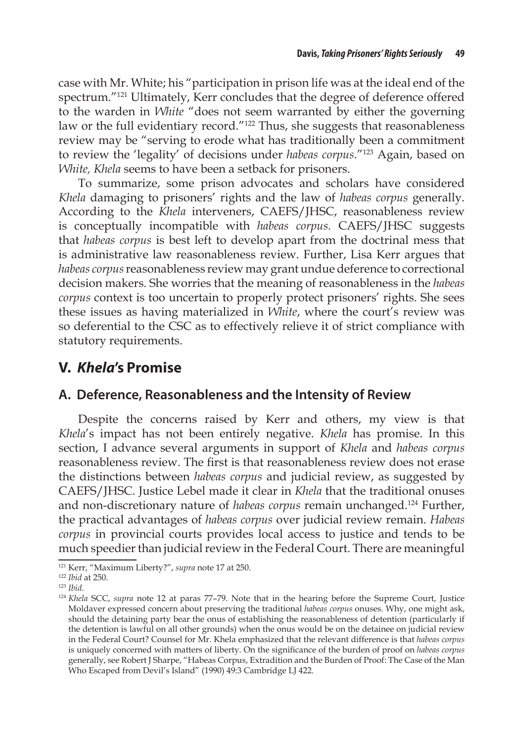case with Mr. White; his "participation in prison life was at the ideal end of the spectrum."121 Ultimately, Kerr concludes that the degree of deference offered to the warden in *White* "does not seem warranted by either the governing law or the full evidentiary record."<sup>122</sup> Thus, she suggests that reasonableness review may be "serving to erode what has traditionally been a commitment to review the 'legality' of decisions under *habeas corpus*."123 Again, based on *White, Khela* seems to have been a setback for prisoners.

To summarize, some prison advocates and scholars have considered *Khela* damaging to prisoners' rights and the law of *habeas corpus* generally. According to the *Khela* interveners, CAEFS/JHSC, reasonableness review is conceptually incompatible with *habeas corpus*. CAEFS/JHSC suggests that *habeas corpus* is best left to develop apart from the doctrinal mess that is administrative law reasonableness review. Further, Lisa Kerr argues that *habeas corpus* reasonableness review may grant undue deference to correctional decision makers. She worries that the meaning of reasonableness in the *habeas corpus* context is too uncertain to properly protect prisoners' rights. She sees these issues as having materialized in *White*, where the court's review was so deferential to the CSC as to effectively relieve it of strict compliance with statutory requirements.

# **V.** *Khela***'s Promise**

### **A. Deference, Reasonableness and the Intensity of Review**

Despite the concerns raised by Kerr and others, my view is that *Khela*'s impact has not been entirely negative. *Khela* has promise. In this section, I advance several arguments in support of *Khela* and *habeas corpus*  reasonableness review. The first is that reasonableness review does not erase the distinctions between *habeas corpus* and judicial review, as suggested by CAEFS/JHSC. Justice Lebel made it clear in *Khela* that the traditional onuses and non-discretionary nature of *habeas corpus* remain unchanged.<sup>124</sup> Further, the practical advantages of *habeas corpus* over judicial review remain. *Habeas corpus* in provincial courts provides local access to justice and tends to be much speedier than judicial review in the Federal Court. There are meaningful

<sup>121</sup> Kerr, "Maximum Liberty?", *supra* note 17 at 250.

<sup>122</sup> *Ibid* at 250.

<sup>123</sup> *Ibid*.

<sup>124</sup> *Khela* SCC, *supra* note 12 at paras 77–79. Note that in the hearing before the Supreme Court, Justice Moldaver expressed concern about preserving the traditional *habeas corpus* onuses. Why, one might ask, should the detaining party bear the onus of establishing the reasonableness of detention (particularly if the detention is lawful on all other grounds) when the onus would be on the detainee on judicial review in the Federal Court? Counsel for Mr. Khela emphasized that the relevant difference is that *habeas corpus*  is uniquely concerned with matters of liberty. On the significance of the burden of proof on *habeas corpus*  generally, see Robert J Sharpe, "Habeas Corpus, Extradition and the Burden of Proof: The Case of the Man Who Escaped from Devil's Island" (1990) 49:3 Cambridge LJ 422.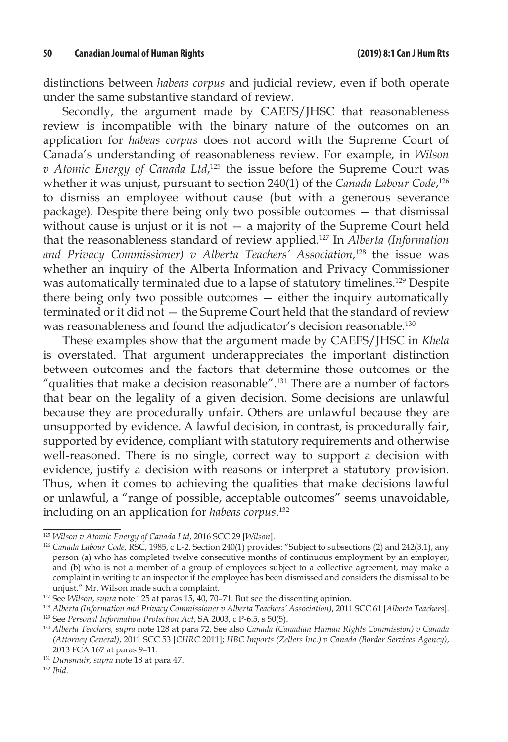distinctions between *habeas corpus* and judicial review, even if both operate under the same substantive standard of review.

Secondly, the argument made by CAEFS/JHSC that reasonableness review is incompatible with the binary nature of the outcomes on an application for *habeas corpus* does not accord with the Supreme Court of Canada's understanding of reasonableness review. For example, in *Wilson v Atomic Energy of Canada Ltd*, 125 the issue before the Supreme Court was whether it was unjust, pursuant to section 240(1) of the *Canada Labour Code*,<sup>126</sup> to dismiss an employee without cause (but with a generous severance package). Despite there being only two possible outcomes — that dismissal without cause is unjust or it is not  $-$  a majority of the Supreme Court held that the reasonableness standard of review applied.127 In *Alberta (Information and Privacy Commissioner) v Alberta Teachers' Association*, 128 the issue was whether an inquiry of the Alberta Information and Privacy Commissioner was automatically terminated due to a lapse of statutory timelines.<sup>129</sup> Despite there being only two possible outcomes — either the inquiry automatically terminated or it did not — the Supreme Court held that the standard of review was reasonableness and found the adjudicator's decision reasonable.130

These examples show that the argument made by CAEFS/JHSC in *Khela* is overstated. That argument underappreciates the important distinction between outcomes and the factors that determine those outcomes or the "qualities that make a decision reasonable".131 There are a number of factors that bear on the legality of a given decision. Some decisions are unlawful because they are procedurally unfair. Others are unlawful because they are unsupported by evidence. A lawful decision, in contrast, is procedurally fair, supported by evidence, compliant with statutory requirements and otherwise well-reasoned. There is no single, correct way to support a decision with evidence, justify a decision with reasons or interpret a statutory provision. Thus, when it comes to achieving the qualities that make decisions lawful or unlawful, a "range of possible, acceptable outcomes" seems unavoidable, including on an application for *habeas corpus*. 132

<sup>125</sup> *Wilson v Atomic Energy of Canada Ltd*, 2016 SCC 29 [*Wilson*].

<sup>126</sup> *Canada Labour Code*, RSC, 1985, c L-2. Section 240(1) provides: "Subject to subsections (2) and 242(3.1), any person (a) who has completed twelve consecutive months of continuous employment by an employer, and (b) who is not a member of a group of employees subject to a collective agreement, may make a complaint in writing to an inspector if the employee has been dismissed and considers the dismissal to be unjust." Mr. Wilson made such a complaint.

<sup>127</sup> See *Wilson*, *supra* note 125 at paras 15, 40, 70–71. But see the dissenting opinion.

<sup>128</sup> *Alberta (Information and Privacy Commissioner v Alberta Teachers' Association)*, 2011 SCC 61 [*Alberta Teachers*].

<sup>129</sup> See *Personal Information Protection Act*, SA 2003, c P-6.5, s 50(5).

<sup>130</sup> *Alberta Teachers, supra* note 128 at para 72. See also *Canada (Canadian Human Rights Commission) v Canada (Attorney General)*, 2011 SCC 53 [*CHRC* 2011]; *HBC Imports (Zellers Inc.) v Canada (Border Services Agency)*, 2013 FCA 167 at paras 9–11.

<sup>131</sup> *Dunsmuir, supra* note 18 at para 47.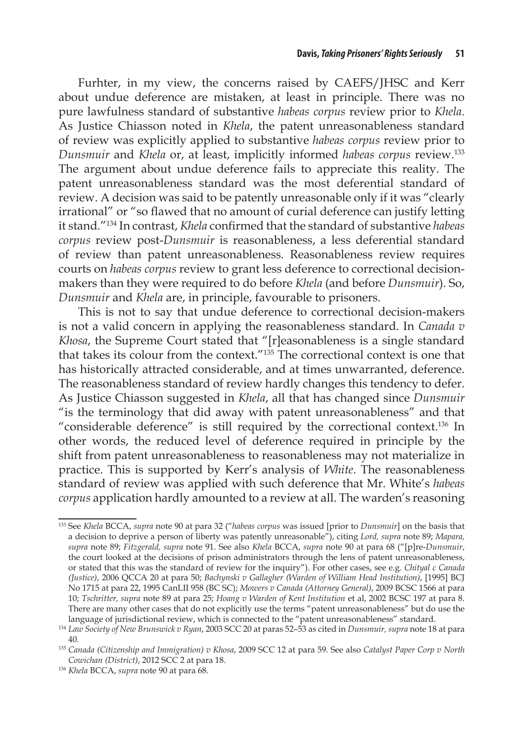Furhter, in my view, the concerns raised by CAEFS/JHSC and Kerr about undue deference are mistaken, at least in principle. There was no pure lawfulness standard of substantive *habeas corpus* review prior to *Khela*. As Justice Chiasson noted in *Khela*, the patent unreasonableness standard of review was explicitly applied to substantive *habeas corpus* review prior to *Dunsmuir* and *Khela* or, at least, implicitly informed *habeas corpus* review.133 The argument about undue deference fails to appreciate this reality. The patent unreasonableness standard was the most deferential standard of review. A decision was said to be patently unreasonable only if it was "clearly irrational" or "so flawed that no amount of curial deference can justify letting it stand."134 In contrast, *Khela* confirmed that the standard of substantive *habeas corpus* review post-*Dunsmuir* is reasonableness, a less deferential standard of review than patent unreasonableness. Reasonableness review requires courts on *habeas corpus* review to grant less deference to correctional decisionmakers than they were required to do before *Khela* (and before *Dunsmuir*). So, *Dunsmuir* and *Khela* are, in principle, favourable to prisoners.

This is not to say that undue deference to correctional decision-makers is not a valid concern in applying the reasonableness standard. In *Canada v Khosa*, the Supreme Court stated that "[r]easonableness is a single standard that takes its colour from the context."135 The correctional context is one that has historically attracted considerable, and at times unwarranted, deference. The reasonableness standard of review hardly changes this tendency to defer. As Justice Chiasson suggested in *Khela*, all that has changed since *Dunsmuir* "is the terminology that did away with patent unreasonableness" and that "considerable deference" is still required by the correctional context.136 In other words, the reduced level of deference required in principle by the shift from patent unreasonableness to reasonableness may not materialize in practice. This is supported by Kerr's analysis of *White*. The reasonableness standard of review was applied with such deference that Mr. White's *habeas corpus* application hardly amounted to a review at all. The warden's reasoning

<sup>133</sup> See *Khela* BCCA, *supra* note 90 at para 32 ("*habeas corpus* was issued [prior to *Dunsmuir*] on the basis that a decision to deprive a person of liberty was patently unreasonable"), citing *Lord, supra* note 89; *Mapara, supra* note 89; *Fitzgerald, supra* note 91. See also *Khela* BCCA, *supra* note 90 at para 68 ("[p]re-*Dunsmuir*, the court looked at the decisions of prison administrators through the lens of patent unreasonableness, or stated that this was the standard of review for the inquiry"). For other cases, see e.g. *Chityal c Canada (Justice)*, 2006 QCCA 20 at para 50; *Bachynski v Gallagher (Warden of William Head Institution)*, [1995] BCJ No 1715 at para 22, 1995 CanLII 958 (BC SC); *Mowers v Canada (Attorney General)*, 2009 BCSC 1566 at para 10; *Tschritter, supra* note 89 at para 25; *Hoang v Warden of Kent Institution* et al, 2002 BCSC 197 at para 8. There are many other cases that do not explicitly use the terms "patent unreasonableness" but do use the language of jurisdictional review, which is connected to the "patent unreasonableness" standard.

<sup>134</sup> *Law Society of New Brunswick v Ryan*, 2003 SCC 20 at paras 52–53 as cited in *Dunsmuir, supra* note 18 at para 40.

<sup>135</sup> *Canada (Citizenship and Immigration) v Khosa*, 2009 SCC 12 at para 59. See also *Catalyst Paper Corp v North Cowichan (District)*, 2012 SCC 2 at para 18.

<sup>136</sup> *Khela* BCCA, *supra* note 90 at para 68.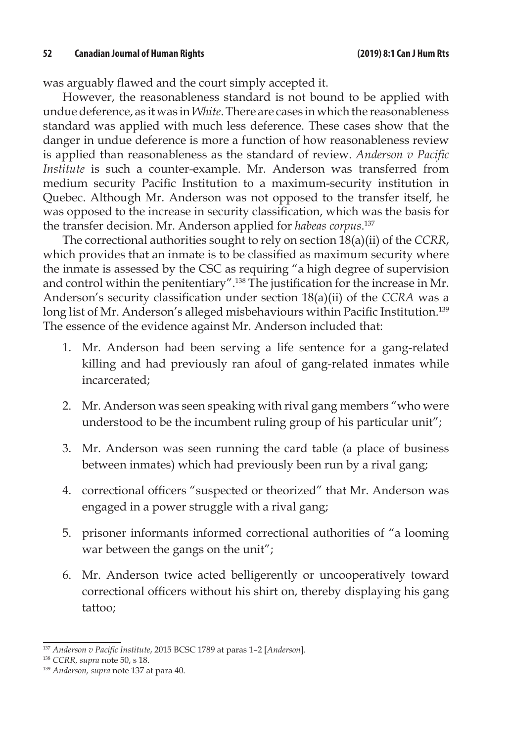was arguably flawed and the court simply accepted it.

However, the reasonableness standard is not bound to be applied with undue deference, as it was in *White*. There are cases in which the reasonableness standard was applied with much less deference. These cases show that the danger in undue deference is more a function of how reasonableness review is applied than reasonableness as the standard of review. *Anderson v Pacific Institute* is such a counter-example. Mr. Anderson was transferred from medium security Pacific Institution to a maximum-security institution in Quebec. Although Mr. Anderson was not opposed to the transfer itself, he was opposed to the increase in security classification, which was the basis for the transfer decision. Mr. Anderson applied for *habeas corpus*. 137

The correctional authorities sought to rely on section 18(a)(ii) of the *CCRR*, which provides that an inmate is to be classified as maximum security where the inmate is assessed by the CSC as requiring "a high degree of supervision and control within the penitentiary".138 The justification for the increase in Mr. Anderson's security classification under section 18(a)(ii) of the *CCRA* was a long list of Mr. Anderson's alleged misbehaviours within Pacific Institution.<sup>139</sup> The essence of the evidence against Mr. Anderson included that:

- 1. Mr. Anderson had been serving a life sentence for a gang-related killing and had previously ran afoul of gang-related inmates while incarcerated;
- 2. Mr. Anderson was seen speaking with rival gang members "who were understood to be the incumbent ruling group of his particular unit";
- 3. Mr. Anderson was seen running the card table (a place of business between inmates) which had previously been run by a rival gang;
- 4. correctional officers "suspected or theorized" that Mr. Anderson was engaged in a power struggle with a rival gang;
- 5. prisoner informants informed correctional authorities of "a looming war between the gangs on the unit";
- 6. Mr. Anderson twice acted belligerently or uncooperatively toward correctional officers without his shirt on, thereby displaying his gang tattoo;

<sup>137</sup> *Anderson v Pacific Institute*, 2015 BCSC 1789 at paras 1–2 [*Anderson*].

<sup>138</sup> *CCRR, supra* note 50, s 18.

<sup>139</sup> *Anderson, supra* note 137 at para 40.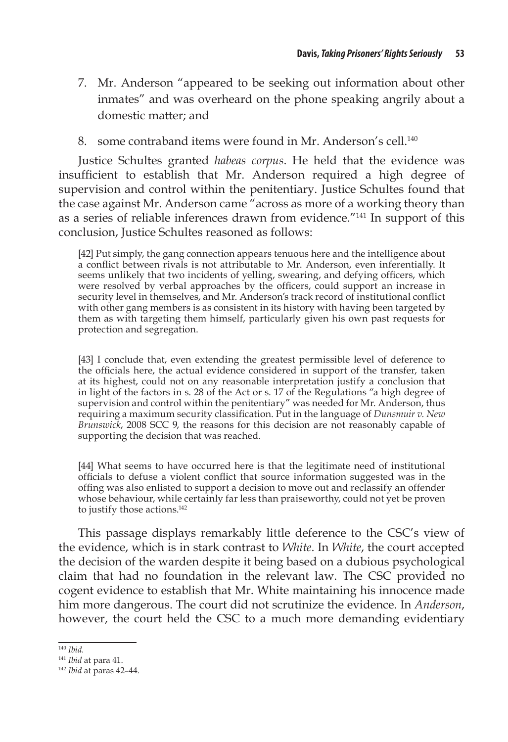- 7. Mr. Anderson "appeared to be seeking out information about other inmates" and was overheard on the phone speaking angrily about a domestic matter; and
- 8. some contraband items were found in Mr. Anderson's cell.<sup>140</sup>

Justice Schultes granted *habeas corpus*. He held that the evidence was insufficient to establish that Mr. Anderson required a high degree of supervision and control within the penitentiary. Justice Schultes found that the case against Mr. Anderson came "across as more of a working theory than as a series of reliable inferences drawn from evidence."141 In support of this conclusion, Justice Schultes reasoned as follows:

[42] Put simply, the gang connection appears tenuous here and the intelligence about a conflict between rivals is not attributable to Mr. Anderson, even inferentially. It seems unlikely that two incidents of yelling, swearing, and defying officers, which were resolved by verbal approaches by the officers, could support an increase in security level in themselves, and Mr. Anderson's track record of institutional conflict with other gang members is as consistent in its history with having been targeted by them as with targeting them himself, particularly given his own past requests for protection and segregation.

[43] I conclude that, even extending the greatest permissible level of deference to the officials here, the actual evidence considered in support of the transfer, taken at its highest, could not on any reasonable interpretation justify a conclusion that in light of the factors in s. 28 of the Act or s. 17 of the Regulations "a high degree of supervision and control within the penitentiary" was needed for Mr. Anderson, thus requiring a maximum security classification. Put in the language of *Dunsmuir v. New Brunswick*, 2008 SCC 9, the reasons for this decision are not reasonably capable of supporting the decision that was reached.

[44] What seems to have occurred here is that the legitimate need of institutional officials to defuse a violent conflict that source information suggested was in the offing was also enlisted to support a decision to move out and reclassify an offender whose behaviour, while certainly far less than praiseworthy, could not yet be proven to justify those actions.<sup>142</sup>

This passage displays remarkably little deference to the CSC's view of the evidence, which is in stark contrast to *White*. In *White*, the court accepted the decision of the warden despite it being based on a dubious psychological claim that had no foundation in the relevant law. The CSC provided no cogent evidence to establish that Mr. White maintaining his innocence made him more dangerous. The court did not scrutinize the evidence. In *Anderson*, however, the court held the CSC to a much more demanding evidentiary

<sup>140</sup> *Ibid.*

<sup>141</sup> *Ibid* at para 41.

<sup>142</sup> *Ibid* at paras 42–44.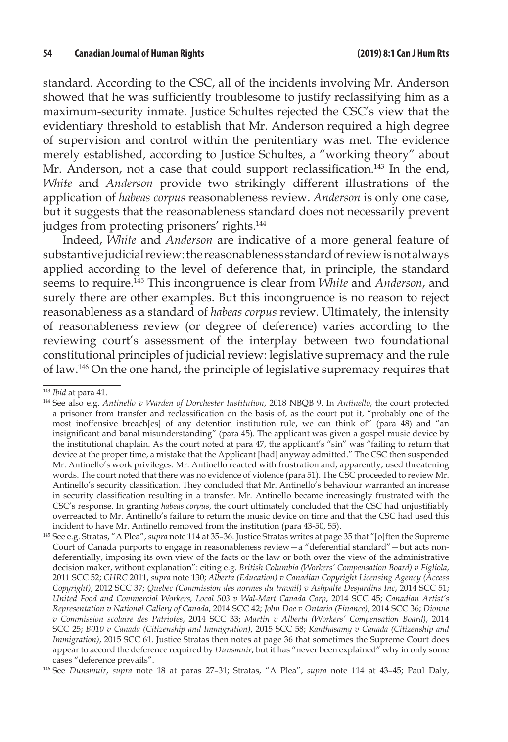standard. According to the CSC, all of the incidents involving Mr. Anderson showed that he was sufficiently troublesome to justify reclassifying him as a maximum-security inmate. Justice Schultes rejected the CSC's view that the evidentiary threshold to establish that Mr. Anderson required a high degree of supervision and control within the penitentiary was met. The evidence merely established, according to Justice Schultes, a "working theory" about Mr. Anderson, not a case that could support reclassification.<sup>143</sup> In the end, *White* and *Anderson* provide two strikingly different illustrations of the application of *habeas corpus* reasonableness review. *Anderson* is only one case, but it suggests that the reasonableness standard does not necessarily prevent judges from protecting prisoners' rights.<sup>144</sup>

Indeed, *White* and *Anderson* are indicative of a more general feature of substantive judicial review: the reasonableness standard of review is not always applied according to the level of deference that, in principle, the standard seems to require.145 This incongruence is clear from *White* and *Anderson*, and surely there are other examples. But this incongruence is no reason to reject reasonableness as a standard of *habeas corpus* review. Ultimately, the intensity of reasonableness review (or degree of deference) varies according to the reviewing court's assessment of the interplay between two foundational constitutional principles of judicial review: legislative supremacy and the rule of law.146 On the one hand, the principle of legislative supremacy requires that

<sup>146</sup> See *Dunsmuir*, *supra* note 18 at paras 27–31; Stratas, "A Plea", *supra* note 114 at 43–45; Paul Daly,

<sup>143</sup> *Ibid* at para 41.

<sup>144</sup> See also e.g. *Antinello v Warden of Dorchester Institution*, 2018 NBQB 9. In *Antinello*, the court protected a prisoner from transfer and reclassification on the basis of, as the court put it, "probably one of the most inoffensive breach[es] of any detention institution rule, we can think of  $\hat{r}$  (para 48) and "an insignificant and banal misunderstanding" (para 45). The applicant was given a gospel music device by the institutional chaplain. As the court noted at para 47, the applicant's "sin" was "failing to return that device at the proper time, a mistake that the Applicant [had] anyway admitted." The CSC then suspended Mr. Antinello's work privileges. Mr. Antinello reacted with frustration and, apparently, used threatening words. The court noted that there was no evidence of violence (para 51). The CSC proceeded to review Mr. Antinello's security classification. They concluded that Mr. Antinello's behaviour warranted an increase in security classification resulting in a transfer. Mr. Antinello became increasingly frustrated with the CSC's response. In granting *habeas corpus*, the court ultimately concluded that the CSC had unjustifiably overreacted to Mr. Antinello's failure to return the music device on time and that the CSC had used this incident to have Mr. Antinello removed from the institution (para 43-50, 55).

<sup>145</sup> See e.g. Stratas, "A Plea", *supra* note 114 at 35–36. Justice Stratas writes at page 35 that "[o]ften the Supreme Court of Canada purports to engage in reasonableness review—a "deferential standard"—but acts nondeferentially, imposing its own view of the facts or the law or both over the view of the administrative decision maker, without explanation": citing e.g. *British Columbia (Workers' Compensation Board) v Figliola*, 2011 SCC 52; *CHRC* 2011, *supra* note 130; *Alberta (Education) v Canadian Copyright Licensing Agency (Access Copyright)*, 2012 SCC 37; *Quebec (Commission des normes du travail) v Ashpalte Desjardins Inc*, 2014 SCC 51; *United Food and Commercial Workers, Local 503 v Wal-Mart Canada Corp*, 2014 SCC 45; *Canadian Artist's Representation v National Gallery of Canada*, 2014 SCC 42; *John Doe v Ontario (Finance)*, 2014 SCC 36; *Dionne v Commission scolaire des Patriotes*, 2014 SCC 33; *Martin v Alberta (Workers' Compensation Board)*, 2014 SCC 25; *B010 v Canada (Citizenship and Immigration)*, 2015 SCC 58; *Kanthasamy v Canada (Citizenship and Immigration)*, 2015 SCC 61. Justice Stratas then notes at page 36 that sometimes the Supreme Court does appear to accord the deference required by *Dunsmuir*, but it has "never been explained" why in only some cases "deference prevails".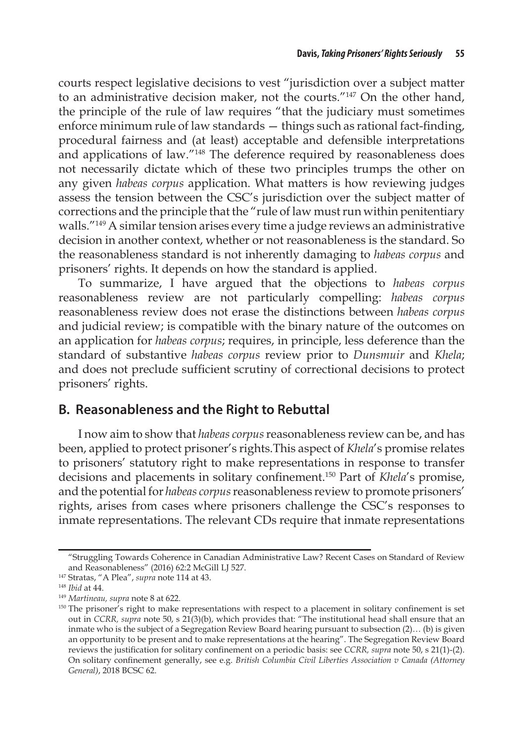courts respect legislative decisions to vest "jurisdiction over a subject matter to an administrative decision maker, not the courts."147 On the other hand, the principle of the rule of law requires "that the judiciary must sometimes enforce minimum rule of law standards — things such as rational fact-finding, procedural fairness and (at least) acceptable and defensible interpretations and applications of law."148 The deference required by reasonableness does not necessarily dictate which of these two principles trumps the other on any given *habeas corpus* application. What matters is how reviewing judges assess the tension between the CSC's jurisdiction over the subject matter of corrections and the principle that the "rule of law must run within penitentiary walls."149 A similar tension arises every time a judge reviews an administrative decision in another context, whether or not reasonableness is the standard. So the reasonableness standard is not inherently damaging to *habeas corpus* and prisoners' rights. It depends on how the standard is applied.

To summarize, I have argued that the objections to *habeas corpus*  reasonableness review are not particularly compelling: *habeas corpus*  reasonableness review does not erase the distinctions between *habeas corpus*  and judicial review; is compatible with the binary nature of the outcomes on an application for *habeas corpus*; requires, in principle, less deference than the standard of substantive *habeas corpus* review prior to *Dunsmuir* and *Khela*; and does not preclude sufficient scrutiny of correctional decisions to protect prisoners' rights.

### **B. Reasonableness and the Right to Rebuttal**

I now aim to show that *habeas corpus* reasonableness review can be, and has been, applied to protect prisoner's rights.This aspect of *Khela*'s promise relates to prisoners' statutory right to make representations in response to transfer decisions and placements in solitary confinement.150 Part of *Khela*'s promise, and the potential for *habeas corpus* reasonableness review to promote prisoners' rights, arises from cases where prisoners challenge the CSC's responses to inmate representations. The relevant CDs require that inmate representations

<sup>&</sup>quot;Struggling Towards Coherence in Canadian Administrative Law? Recent Cases on Standard of Review and Reasonableness" (2016) 62:2 McGill LJ 527.

<sup>147</sup> Stratas, "A Plea", *supra* note 114 at 43.

<sup>148</sup> *Ibid* at 44.

<sup>149</sup> *Martineau, supra* note 8 at 622.

<sup>&</sup>lt;sup>150</sup> The prisoner's right to make representations with respect to a placement in solitary confinement is set out in *CCRR, supra* note 50, s 21(3)(b), which provides that: "The institutional head shall ensure that an inmate who is the subject of a Segregation Review Board hearing pursuant to subsection (2)… (b) is given an opportunity to be present and to make representations at the hearing". The Segregation Review Board reviews the justification for solitary confinement on a periodic basis: see *CCRR, supra* note 50, s 21(1)-(2). On solitary confinement generally, see e.g. *British Columbia Civil Liberties Association v Canada (Attorney General)*, 2018 BCSC 62.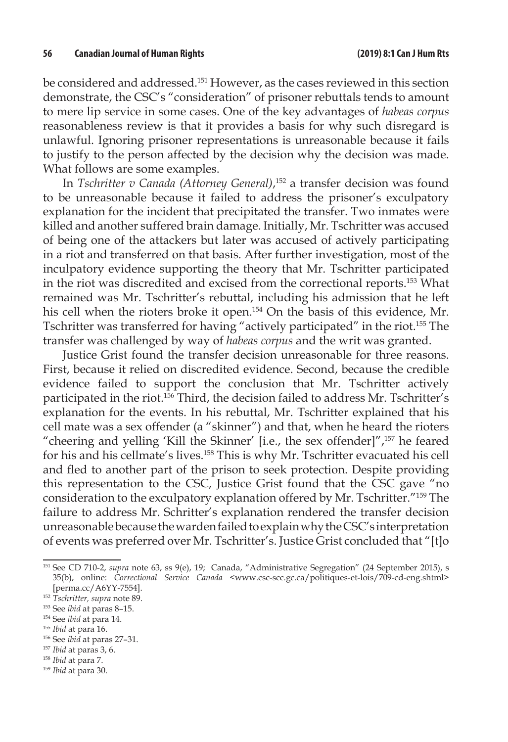be considered and addressed.151 However, as the cases reviewed in this section demonstrate, the CSC's "consideration" of prisoner rebuttals tends to amount to mere lip service in some cases. One of the key advantages of *habeas corpus*  reasonableness review is that it provides a basis for why such disregard is unlawful. Ignoring prisoner representations is unreasonable because it fails to justify to the person affected by the decision why the decision was made. What follows are some examples.

In *Tschritter v Canada (Attorney General)*, 152 a transfer decision was found to be unreasonable because it failed to address the prisoner's exculpatory explanation for the incident that precipitated the transfer. Two inmates were killed and another suffered brain damage. Initially, Mr. Tschritter was accused of being one of the attackers but later was accused of actively participating in a riot and transferred on that basis. After further investigation, most of the inculpatory evidence supporting the theory that Mr. Tschritter participated in the riot was discredited and excised from the correctional reports.153 What remained was Mr. Tschritter's rebuttal, including his admission that he left his cell when the rioters broke it open.<sup>154</sup> On the basis of this evidence, Mr. Tschritter was transferred for having "actively participated" in the riot.155 The transfer was challenged by way of *habeas corpus* and the writ was granted.

Justice Grist found the transfer decision unreasonable for three reasons. First, because it relied on discredited evidence. Second, because the credible evidence failed to support the conclusion that Mr. Tschritter actively participated in the riot.<sup>156</sup> Third, the decision failed to address Mr. Tschritter's explanation for the events. In his rebuttal, Mr. Tschritter explained that his cell mate was a sex offender (a "skinner") and that, when he heard the rioters "cheering and yelling 'Kill the Skinner' [i.e., the sex offender]",157 he feared for his and his cellmate's lives.158 This is why Mr. Tschritter evacuated his cell and fled to another part of the prison to seek protection. Despite providing this representation to the CSC, Justice Grist found that the CSC gave "no consideration to the exculpatory explanation offered by Mr. Tschritter."159 The failure to address Mr. Schritter's explanation rendered the transfer decision unreasonable because the warden failed to explain why the CSC's interpretation of events was preferred over Mr. Tschritter's. Justice Grist concluded that "[t]o

- <sup>155</sup> *Ibid* at para 16.
- <sup>156</sup> See *ibid* at paras 27–31.

<sup>158</sup> *Ibid* at para 7.

<sup>151</sup> See CD 710-2, *supra* note 63, ss 9(e), 19; Canada, "Administrative Segregation" (24 September 2015), s 35(b), online: *Correctional Service Canada* <www.csc-scc.gc.ca/politiques-et-lois/709-cd-eng.shtml>

<sup>&</sup>lt;sup>152</sup> Tschritter, supra note 89.

<sup>153</sup> See *ibid* at paras 8–15.

<sup>154</sup> See *ibid* at para 14.

<sup>157</sup> *Ibid* at paras 3, 6.

<sup>159</sup> *Ibid* at para 30.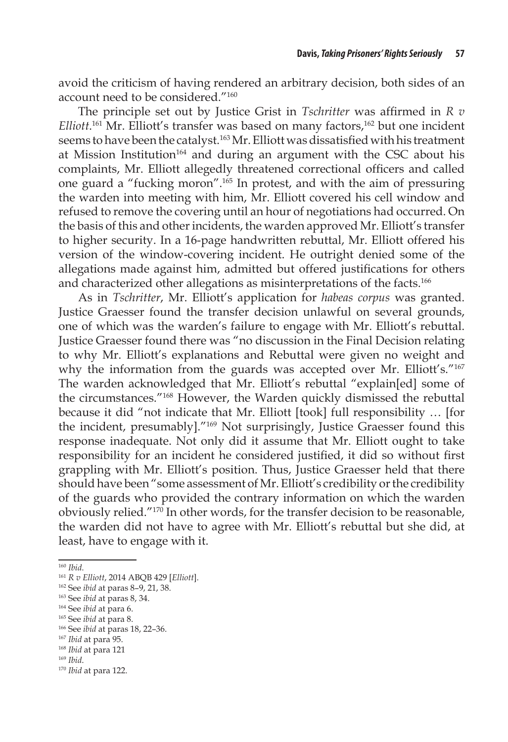avoid the criticism of having rendered an arbitrary decision, both sides of an account need to be considered."160

The principle set out by Justice Grist in *Tschritter* was affirmed in *R v*  Elliott.<sup>161</sup> Mr. Elliott's transfer was based on many factors,<sup>162</sup> but one incident seems to have been the catalyst.<sup>163</sup> Mr. Elliott was dissatisfied with his treatment at Mission Institution<sup>164</sup> and during an argument with the CSC about his complaints, Mr. Elliott allegedly threatened correctional officers and called one guard a "fucking moron".165 In protest, and with the aim of pressuring the warden into meeting with him, Mr. Elliott covered his cell window and refused to remove the covering until an hour of negotiations had occurred. On the basis of this and other incidents, the warden approved Mr. Elliott's transfer to higher security. In a 16-page handwritten rebuttal, Mr. Elliott offered his version of the window-covering incident. He outright denied some of the allegations made against him, admitted but offered justifications for others and characterized other allegations as misinterpretations of the facts.166

As in *Tschritter*, Mr. Elliott's application for *habeas corpus* was granted. Justice Graesser found the transfer decision unlawful on several grounds, one of which was the warden's failure to engage with Mr. Elliott's rebuttal. Justice Graesser found there was "no discussion in the Final Decision relating to why Mr. Elliott's explanations and Rebuttal were given no weight and why the information from the guards was accepted over Mr. Elliott's."<sup>167</sup> The warden acknowledged that Mr. Elliott's rebuttal "explain[ed] some of the circumstances."168 However, the Warden quickly dismissed the rebuttal because it did "not indicate that Mr. Elliott [took] full responsibility … [for the incident, presumably]."169 Not surprisingly, Justice Graesser found this response inadequate. Not only did it assume that Mr. Elliott ought to take responsibility for an incident he considered justified, it did so without first grappling with Mr. Elliott's position. Thus, Justice Graesser held that there should have been "some assessment of Mr. Elliott's credibility or the credibility of the guards who provided the contrary information on which the warden obviously relied."170 In other words, for the transfer decision to be reasonable, the warden did not have to agree with Mr. Elliott's rebuttal but she did, at least, have to engage with it.

<sup>160</sup> *Ibid*.

<sup>161</sup> *R v Elliott*, 2014 ABQB 429 [*Elliott*].

<sup>162</sup> See *ibid* at paras 8–9, 21, 38.

<sup>163</sup> See *ibid* at paras 8, 34.

<sup>164</sup> See *ibid* at para 6.

<sup>165</sup> See *ibid* at para 8.

<sup>166</sup> See *ibid* at paras 18, 22–36.

<sup>167</sup> *Ibid* at para 95.

<sup>168</sup> *Ibid* at para 121

<sup>169</sup> *Ibid*.

<sup>170</sup> *Ibid* at para 122.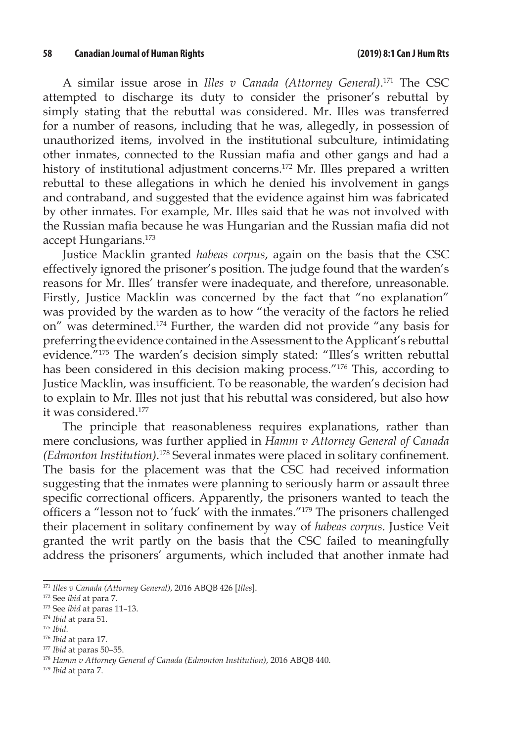A similar issue arose in *Illes v Canada (Attorney General)*. 171 The CSC attempted to discharge its duty to consider the prisoner's rebuttal by simply stating that the rebuttal was considered. Mr. Illes was transferred for a number of reasons, including that he was, allegedly, in possession of unauthorized items, involved in the institutional subculture, intimidating other inmates, connected to the Russian mafia and other gangs and had a history of institutional adjustment concerns.172 Mr. Illes prepared a written rebuttal to these allegations in which he denied his involvement in gangs and contraband, and suggested that the evidence against him was fabricated by other inmates. For example, Mr. Illes said that he was not involved with the Russian mafia because he was Hungarian and the Russian mafia did not accept Hungarians.173

Justice Macklin granted *habeas corpus*, again on the basis that the CSC effectively ignored the prisoner's position. The judge found that the warden's reasons for Mr. Illes' transfer were inadequate, and therefore, unreasonable. Firstly, Justice Macklin was concerned by the fact that "no explanation" was provided by the warden as to how "the veracity of the factors he relied on" was determined.174 Further, the warden did not provide "any basis for preferring the evidence contained in the Assessment to the Applicant's rebuttal evidence."175 The warden's decision simply stated: "Illes's written rebuttal has been considered in this decision making process."176 This, according to Justice Macklin, was insufficient. To be reasonable, the warden's decision had to explain to Mr. Illes not just that his rebuttal was considered, but also how it was considered.177

The principle that reasonableness requires explanations, rather than mere conclusions, was further applied in *Hamm v Attorney General of Canada (Edmonton Institution)*. <sup>178</sup> Several inmates were placed in solitary confinement. The basis for the placement was that the CSC had received information suggesting that the inmates were planning to seriously harm or assault three specific correctional officers. Apparently, the prisoners wanted to teach the officers a "lesson not to 'fuck' with the inmates."179 The prisoners challenged their placement in solitary confinement by way of *habeas corpus*. Justice Veit granted the writ partly on the basis that the CSC failed to meaningfully address the prisoners' arguments, which included that another inmate had

<sup>171</sup> *Illes v Canada (Attorney General)*, 2016 ABQB 426 [*Illes*].

<sup>172</sup> See *ibid* at para 7.

<sup>173</sup> See *ibid* at paras 11–13.

<sup>174</sup> *Ibid* at para 51.

<sup>175</sup> *Ibid.*

<sup>176</sup> *Ibid* at para 17.

<sup>177</sup> *Ibid* at paras 50–55.

<sup>178</sup> *Hamm v Attorney General of Canada (Edmonton Institution)*, 2016 ABQB 440.

<sup>179</sup> *Ibid* at para 7.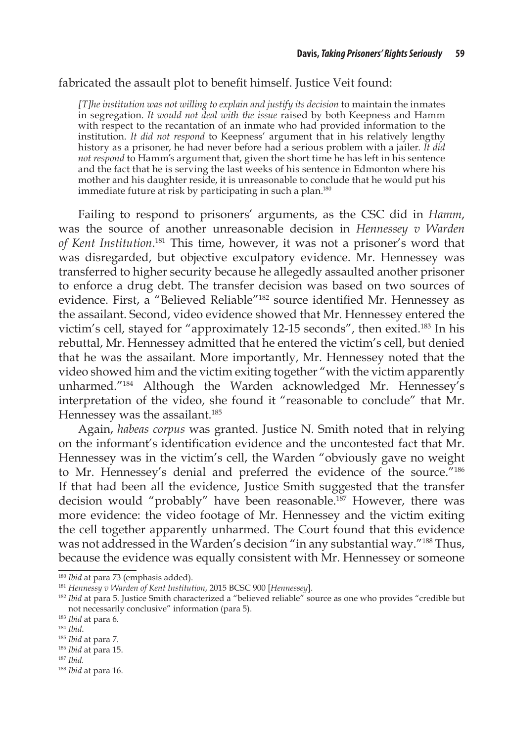#### fabricated the assault plot to benefit himself. Justice Veit found:

*[T]he institution was not willing to explain and justify its decision* to maintain the inmates in segregation. *It would not deal with the issue* raised by both Keepness and Hamm with respect to the recantation of an inmate who had provided information to the institution. *It did not respond* to Keepness' argument that in his relatively lengthy history as a prisoner, he had never before had a serious problem with a jailer. *It did not respond* to Hamm's argument that, given the short time he has left in his sentence and the fact that he is serving the last weeks of his sentence in Edmonton where his mother and his daughter reside, it is unreasonable to conclude that he would put his immediate future at risk by participating in such a plan.<sup>180</sup>

Failing to respond to prisoners' arguments, as the CSC did in *Hamm*, was the source of another unreasonable decision in *Hennessey v Warden of Kent Institution*. 181 This time, however, it was not a prisoner's word that was disregarded, but objective exculpatory evidence. Mr. Hennessey was transferred to higher security because he allegedly assaulted another prisoner to enforce a drug debt. The transfer decision was based on two sources of evidence. First, a "Believed Reliable"182 source identified Mr. Hennessey as the assailant. Second, video evidence showed that Mr. Hennessey entered the victim's cell, stayed for "approximately 12-15 seconds", then exited.<sup>183</sup> In his rebuttal, Mr. Hennessey admitted that he entered the victim's cell, but denied that he was the assailant. More importantly, Mr. Hennessey noted that the video showed him and the victim exiting together "with the victim apparently unharmed."184 Although the Warden acknowledged Mr. Hennessey's interpretation of the video, she found it "reasonable to conclude" that Mr. Hennessey was the assailant.<sup>185</sup>

Again, *habeas corpus* was granted. Justice N. Smith noted that in relying on the informant's identification evidence and the uncontested fact that Mr. Hennessey was in the victim's cell, the Warden "obviously gave no weight to Mr. Hennessey's denial and preferred the evidence of the source."186 If that had been all the evidence, Justice Smith suggested that the transfer decision would "probably" have been reasonable.<sup>187</sup> However, there was more evidence: the video footage of Mr. Hennessey and the victim exiting the cell together apparently unharmed. The Court found that this evidence was not addressed in the Warden's decision "in any substantial way."<sup>188</sup> Thus, because the evidence was equally consistent with Mr. Hennessey or someone

<sup>186</sup> *Ibid* at para 15.

<sup>180</sup> *Ibid* at para 73 (emphasis added).

<sup>181</sup> *Hennessy v Warden of Kent Institution*, 2015 BCSC 900 [*Hennessey*].

<sup>&</sup>lt;sup>182</sup> *Ibid* at para 5. Justice Smith characterized a "believed reliable" source as one who provides "credible but not necessarily conclusive" information (para 5).

<sup>183</sup> *Ibid* at para 6.

<sup>184</sup> *Ibid*.

<sup>185</sup> *Ibid* at para 7.

<sup>187</sup> *Ibid.*

<sup>188</sup> *Ibid* at para 16.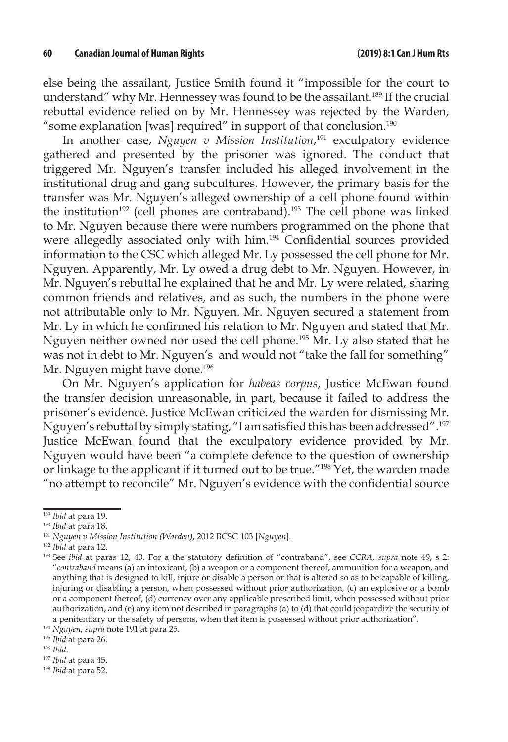else being the assailant, Justice Smith found it "impossible for the court to understand" why Mr. Hennessey was found to be the assailant.<sup>189</sup> If the crucial rebuttal evidence relied on by Mr. Hennessey was rejected by the Warden, "some explanation [was] required" in support of that conclusion.<sup>190</sup>

In another case, *Nguyen v Mission Institution*, 191 exculpatory evidence gathered and presented by the prisoner was ignored. The conduct that triggered Mr. Nguyen's transfer included his alleged involvement in the institutional drug and gang subcultures. However, the primary basis for the transfer was Mr. Nguyen's alleged ownership of a cell phone found within the institution<sup>192</sup> (cell phones are contraband).<sup>193</sup> The cell phone was linked to Mr. Nguyen because there were numbers programmed on the phone that were allegedly associated only with him.194 Confidential sources provided information to the CSC which alleged Mr. Ly possessed the cell phone for Mr. Nguyen. Apparently, Mr. Ly owed a drug debt to Mr. Nguyen. However, in Mr. Nguyen's rebuttal he explained that he and Mr. Ly were related, sharing common friends and relatives, and as such, the numbers in the phone were not attributable only to Mr. Nguyen. Mr. Nguyen secured a statement from Mr. Ly in which he confirmed his relation to Mr. Nguyen and stated that Mr. Nguyen neither owned nor used the cell phone.195 Mr. Ly also stated that he was not in debt to Mr. Nguyen's and would not "take the fall for something" Mr. Nguyen might have done.<sup>196</sup>

On Mr. Nguyen's application for *habeas corpus*, Justice McEwan found the transfer decision unreasonable, in part, because it failed to address the prisoner's evidence. Justice McEwan criticized the warden for dismissing Mr. Nguyen's rebuttal by simply stating, "I am satisfied this has been addressed".<sup>197</sup> Justice McEwan found that the exculpatory evidence provided by Mr. Nguyen would have been "a complete defence to the question of ownership or linkage to the applicant if it turned out to be true."198 Yet, the warden made "no attempt to reconcile" Mr. Nguyen's evidence with the confidential source

<sup>189</sup> *Ibid* at para 19.

<sup>190</sup> *Ibid* at para 18.

<sup>191</sup> *Nguyen v Mission Institution (Warden)*, 2012 BCSC 103 [*Nguyen*].

<sup>192</sup> *Ibid* at para 12.

<sup>193</sup> See *ibid* at paras 12, 40. For a the statutory definition of "contraband", see *CCRA, supra* note 49, s 2: "*contraband* means (a) an intoxicant, (b) a weapon or a component thereof, ammunition for a weapon, and anything that is designed to kill, injure or disable a person or that is altered so as to be capable of killing, injuring or disabling a person, when possessed without prior authorization, (c) an explosive or a bomb or a component thereof, (d) currency over any applicable prescribed limit, when possessed without prior authorization, and (e) any item not described in paragraphs (a) to (d) that could jeopardize the security of a penitentiary or the safety of persons, when that item is possessed without prior authorization".

<sup>194</sup> *Nguyen, supra* note 191 at para 25.

<sup>195</sup> *Ibid* at para 26.

<sup>196</sup> *Ibid*.

<sup>197</sup> *Ibid* at para 45.

<sup>198</sup> *Ibid* at para 52.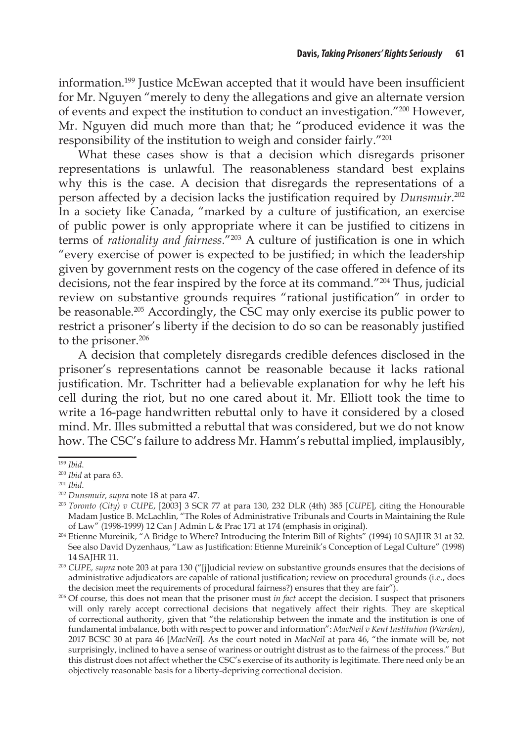information.199 Justice McEwan accepted that it would have been insufficient for Mr. Nguyen "merely to deny the allegations and give an alternate version of events and expect the institution to conduct an investigation."200 However, Mr. Nguyen did much more than that; he "produced evidence it was the responsibility of the institution to weigh and consider fairly."201

What these cases show is that a decision which disregards prisoner representations is unlawful. The reasonableness standard best explains why this is the case. A decision that disregards the representations of a person affected by a decision lacks the justification required by *Dunsmuir*. 202 In a society like Canada, "marked by a culture of justification, an exercise of public power is only appropriate where it can be justified to citizens in terms of *rationality and fairness*."203 A culture of justification is one in which "every exercise of power is expected to be justified; in which the leadership given by government rests on the cogency of the case offered in defence of its decisions, not the fear inspired by the force at its command."204 Thus, judicial review on substantive grounds requires "rational justification" in order to be reasonable.205 Accordingly, the CSC may only exercise its public power to restrict a prisoner's liberty if the decision to do so can be reasonably justified to the prisoner.<sup>206</sup>

A decision that completely disregards credible defences disclosed in the prisoner's representations cannot be reasonable because it lacks rational justification. Mr. Tschritter had a believable explanation for why he left his cell during the riot, but no one cared about it. Mr. Elliott took the time to write a 16-page handwritten rebuttal only to have it considered by a closed mind. Mr. Illes submitted a rebuttal that was considered, but we do not know how. The CSC's failure to address Mr. Hamm's rebuttal implied, implausibly,

<sup>199</sup> *Ibid*.

<sup>200</sup> *Ibid* at para 63.

<sup>201</sup> *Ibid*.

<sup>202</sup> *Dunsmuir, supra* note 18 at para 47.

<sup>203</sup> *Toronto (City) v CUPE*, [2003] 3 SCR 77 at para 130, 232 DLR (4th) 385 [*CUPE*], citing the Honourable Madam Justice B. McLachlin, "The Roles of Administrative Tribunals and Courts in Maintaining the Rule of Law" (1998-1999) 12 Can J Admin L & Prac 171 at 174 (emphasis in original).

<sup>204</sup> Etienne Mureinik, "A Bridge to Where? Introducing the Interim Bill of Rights" (1994) 10 SAJHR 31 at 32. See also David Dyzenhaus, "Law as Justification: Etienne Mureinik's Conception of Legal Culture" (1998) 14 SAJHR 11.

<sup>205</sup> *CUPE, supra* note 203 at para 130 ("[j]udicial review on substantive grounds ensures that the decisions of administrative adjudicators are capable of rational justification; review on procedural grounds (i.e., does the decision meet the requirements of procedural fairness?) ensures that they are fair").

<sup>206</sup> Of course, this does not mean that the prisoner must *in fact* accept the decision. I suspect that prisoners will only rarely accept correctional decisions that negatively affect their rights. They are skeptical of correctional authority, given that "the relationship between the inmate and the institution is one of fundamental imbalance, both with respect to power and information": *MacNeil v Kent Institution (Warden)*, 2017 BCSC 30 at para 46 [*MacNeil*]. As the court noted in *MacNeil* at para 46, "the inmate will be, not surprisingly, inclined to have a sense of wariness or outright distrust as to the fairness of the process." But this distrust does not affect whether the CSC's exercise of its authority is legitimate. There need only be an objectively reasonable basis for a liberty-depriving correctional decision.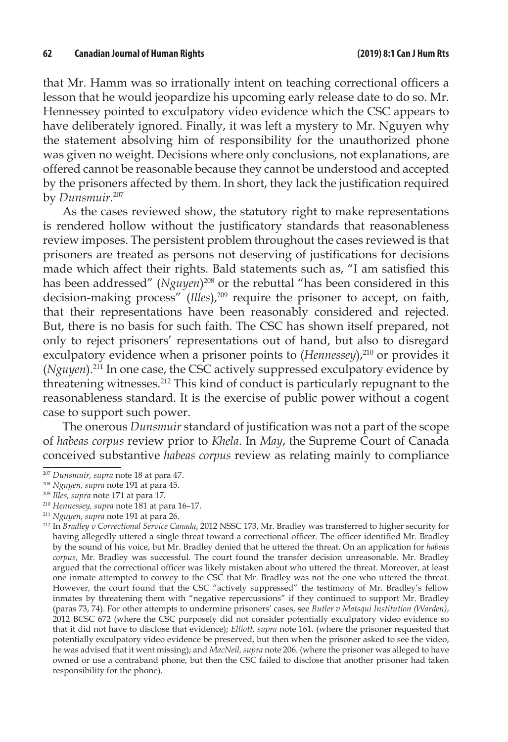that Mr. Hamm was so irrationally intent on teaching correctional officers a lesson that he would jeopardize his upcoming early release date to do so. Mr. Hennessey pointed to exculpatory video evidence which the CSC appears to have deliberately ignored. Finally, it was left a mystery to Mr. Nguyen why the statement absolving him of responsibility for the unauthorized phone was given no weight. Decisions where only conclusions, not explanations, are offered cannot be reasonable because they cannot be understood and accepted by the prisoners affected by them. In short, they lack the justification required by *Dunsmuir*. 207

As the cases reviewed show, the statutory right to make representations is rendered hollow without the justificatory standards that reasonableness review imposes. The persistent problem throughout the cases reviewed is that prisoners are treated as persons not deserving of justifications for decisions made which affect their rights. Bald statements such as, "I am satisfied this has been addressed" (*Nguyen*)<sup>208</sup> or the rebuttal "has been considered in this decision-making process" (*Illes*),209 require the prisoner to accept, on faith, that their representations have been reasonably considered and rejected. But, there is no basis for such faith. The CSC has shown itself prepared, not only to reject prisoners' representations out of hand, but also to disregard exculpatory evidence when a prisoner points to (*Hennessey*),<sup>210</sup> or provides it (*Nguyen*).211 In one case, the CSC actively suppressed exculpatory evidence by threatening witnesses.212 This kind of conduct is particularly repugnant to the reasonableness standard. It is the exercise of public power without a cogent case to support such power.

The onerous *Dunsmuir* standard of justification was not a part of the scope of *habeas corpus* review prior to *Khela*. In *May*, the Supreme Court of Canada conceived substantive *habeas corpus* review as relating mainly to compliance

<sup>207</sup> *Dunsmuir, supra* note 18 at para 47.

<sup>208</sup> *Nguyen, supra* note 191 at para 45.

<sup>209</sup> *Illes, supra* note 171 at para 17.

<sup>210</sup> *Hennessey, supra* note 181 at para 16–17.

<sup>211</sup> *Nguyen, supra* note 191 at para 26.

<sup>212</sup> In *Bradley v Correctional Service Canada*, 2012 NSSC 173, Mr. Bradley was transferred to higher security for having allegedly uttered a single threat toward a correctional officer. The officer identified Mr. Bradley by the sound of his voice, but Mr. Bradley denied that he uttered the threat. On an application for *habeas corpus*, Mr. Bradley was successful. The court found the transfer decision unreasonable. Mr. Bradley argued that the correctional officer was likely mistaken about who uttered the threat. Moreover, at least one inmate attempted to convey to the CSC that Mr. Bradley was not the one who uttered the threat. However, the court found that the CSC "actively suppressed" the testimony of Mr. Bradley's fellow inmates by threatening them with "negative repercussions" if they continued to support Mr. Bradley (paras 73, 74). For other attempts to undermine prisoners' cases, see *Butler v Matsqui Institution (Warden)*, 2012 BCSC 672 (where the CSC purposely did not consider potentially exculpatory video evidence so that it did not have to disclose that evidence); *Elliott, supra* note 161. (where the prisoner requested that potentially exculpatory video evidence be preserved, but then when the prisoner asked to see the video, he was advised that it went missing); and *MacNeil, supra* note 206. (where the prisoner was alleged to have owned or use a contraband phone, but then the CSC failed to disclose that another prisoner had taken responsibility for the phone).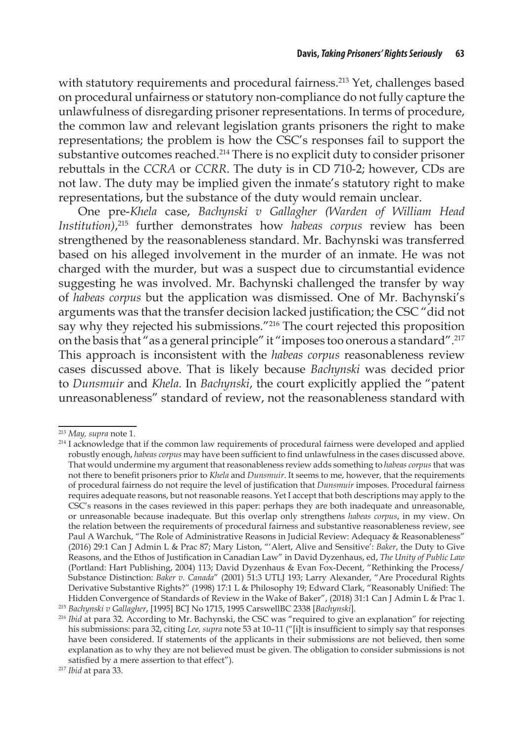with statutory requirements and procedural fairness.<sup>213</sup> Yet, challenges based on procedural unfairness or statutory non-compliance do not fully capture the unlawfulness of disregarding prisoner representations. In terms of procedure, the common law and relevant legislation grants prisoners the right to make representations; the problem is how the CSC's responses fail to support the substantive outcomes reached.<sup>214</sup> There is no explicit duty to consider prisoner rebuttals in the *CCRA* or *CCRR*. The duty is in CD 710-2; however, CDs are not law. The duty may be implied given the inmate's statutory right to make representations, but the substance of the duty would remain unclear.

One pre-*Khela* case, *Bachynski v Gallagher (Warden of William Head Institution)*, 215 further demonstrates how *habeas corpus* review has been strengthened by the reasonableness standard. Mr. Bachynski was transferred based on his alleged involvement in the murder of an inmate. He was not charged with the murder, but was a suspect due to circumstantial evidence suggesting he was involved. Mr. Bachynski challenged the transfer by way of *habeas corpus* but the application was dismissed. One of Mr. Bachynski's arguments was that the transfer decision lacked justification; the CSC "did not say why they rejected his submissions."216 The court rejected this proposition on the basis that "as a general principle" it "imposes too onerous a standard".217 This approach is inconsistent with the *habeas corpus* reasonableness review cases discussed above. That is likely because *Bachynski* was decided prior to *Dunsmuir* and *Khela.* In *Bachynski*, the court explicitly applied the "patent unreasonableness" standard of review, not the reasonableness standard with

<sup>213</sup> *May, supra* note 1.

<sup>&</sup>lt;sup>214</sup> I acknowledge that if the common law requirements of procedural fairness were developed and applied robustly enough, *habeas corpus* may have been sufficient to find unlawfulness in the cases discussed above. That would undermine my argument that reasonableness review adds something to *habeas corpus* that was not there to benefit prisoners prior to *Khela* and *Dunsmuir*. It seems to me, however, that the requirements of procedural fairness do not require the level of justification that *Dunsmuir* imposes. Procedural fairness requires adequate reasons, but not reasonable reasons. Yet I accept that both descriptions may apply to the CSC's reasons in the cases reviewed in this paper: perhaps they are both inadequate and unreasonable, or unreasonable because inadequate. But this overlap only strengthens *habeas corpus*, in my view. On the relation between the requirements of procedural fairness and substantive reasonableness review, see Paul A Warchuk, "The Role of Administrative Reasons in Judicial Review: Adequacy & Reasonableness" (2016) 29:1 Can J Admin L & Prac 87; Mary Liston, "'Alert, Alive and Sensitive': *Baker*, the Duty to Give Reasons, and the Ethos of Justification in Canadian Law" in David Dyzenhaus, ed, *The Unity of Public Law* (Portland: Hart Publishing, 2004) 113; David Dyzenhaus & Evan Fox-Decent, "Rethinking the Process/ Substance Distinction: *Baker v. Canada*" (2001) 51:3 UTLJ 193; Larry Alexander, "Are Procedural Rights Derivative Substantive Rights?" (1998) 17:1 L & Philosophy 19; Edward Clark, "Reasonably Unified: The Hidden Convergence of Standards of Review in the Wake of Baker", (2018) 31:1 Can J Admin L & Prac 1.

<sup>215</sup> *Bachynski v Gallagher*, [1995] BCJ No 1715, 1995 CarswellBC 2338 [*Bachynski*].

<sup>216</sup> *Ibid* at para 32. According to Mr. Bachynski, the CSC was "required to give an explanation" for rejecting his submissions: para 32, citing *Lee, supra* note 53 at 10-11 ("[i]t is insufficient to simply say that responses have been considered. If statements of the applicants in their submissions are not believed, then some explanation as to why they are not believed must be given. The obligation to consider submissions is not satisfied by a mere assertion to that effect").

<sup>217</sup> *Ibid* at para 33.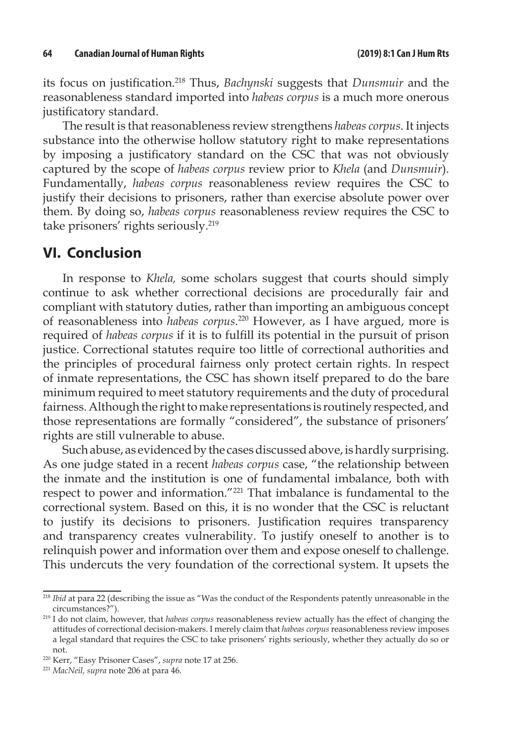its focus on justification.218 Thus, *Bachynski* suggests that *Dunsmuir* and the reasonableness standard imported into *habeas corpus* is a much more onerous justificatory standard.

The result is that reasonableness review strengthens *habeas corpus*. It injects substance into the otherwise hollow statutory right to make representations by imposing a justificatory standard on the CSC that was not obviously captured by the scope of *habeas corpus* review prior to *Khela* (and *Dunsmuir*). Fundamentally, *habeas corpus* reasonableness review requires the CSC to justify their decisions to prisoners, rather than exercise absolute power over them. By doing so, *habeas corpus* reasonableness review requires the CSC to take prisoners' rights seriously.219

#### **VI. Conclusion**

In response to *Khela,* some scholars suggest that courts should simply continue to ask whether correctional decisions are procedurally fair and compliant with statutory duties, rather than importing an ambiguous concept of reasonableness into *habeas corpus*. 220 However, as I have argued, more is required of *habeas corpus* if it is to fulfill its potential in the pursuit of prison justice. Correctional statutes require too little of correctional authorities and the principles of procedural fairness only protect certain rights. In respect of inmate representations, the CSC has shown itself prepared to do the bare minimum required to meet statutory requirements and the duty of procedural fairness. Although the right to make representations is routinely respected, and those representations are formally "considered", the substance of prisoners' rights are still vulnerable to abuse.

Such abuse, as evidenced by the cases discussed above, is hardly surprising. As one judge stated in a recent *habeas corpus* case, "the relationship between the inmate and the institution is one of fundamental imbalance, both with respect to power and information."221 That imbalance is fundamental to the correctional system. Based on this, it is no wonder that the CSC is reluctant to justify its decisions to prisoners. Justification requires transparency and transparency creates vulnerability. To justify oneself to another is to relinquish power and information over them and expose oneself to challenge. This undercuts the very foundation of the correctional system. It upsets the

<sup>&</sup>lt;sup>218</sup> *Ibid* at para 22 (describing the issue as "Was the conduct of the Respondents patently unreasonable in the circumstances?").

<sup>219</sup> I do not claim, however, that *habeas corpus* reasonableness review actually has the effect of changing the attitudes of correctional decision-makers. I merely claim that *habeas corpus* reasonableness review imposes a legal standard that requires the CSC to take prisoners' rights seriously, whether they actually do so or not.

<sup>220</sup> Kerr, "Easy Prisoner Cases", *supra* note 17 at 256.

<sup>221</sup> *MacNeil, supra* note 206 at para 46.